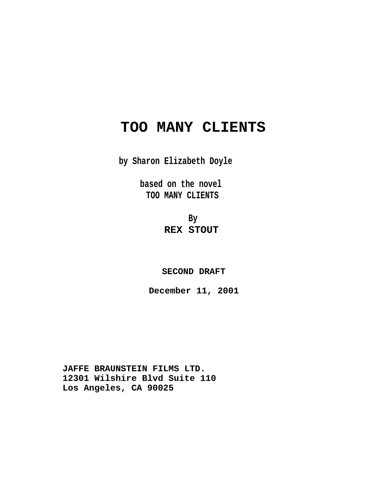# **TOO MANY CLIENTS**

**by Sharon Elizabeth Doyle**

**based on the novel TOO MANY CLIENTS**

> **By REX STOUT**

**SECOND DRAFT**

**December 11, 2001**

**JAFFE BRAUNSTEIN FILMS LTD. 12301 Wilshire Blvd Suite 110 Los Angeles, CA 90025**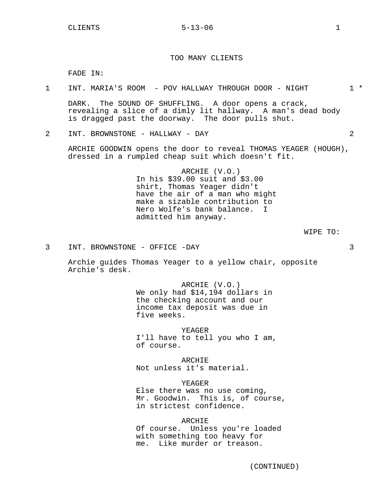# $CLIENTS$   $5-13-06$   $1$

#### TOO MANY CLIENTS

FADE IN:

| POV HALLWAY THROUGH<br>MARIA'S<br>DOOR -<br>NIGHT<br>ROOM<br>INT |  |  | <b></b> |  |
|------------------------------------------------------------------|--|--|---------|--|
|------------------------------------------------------------------|--|--|---------|--|

DARK. The SOUND OF SHUFFLING. A door opens a crack, revealing a slice of a dimly lit hallway. A man's dead body is dragged past the doorway. The door pulls shut.

2 INT. BROWNSTONE - HALLWAY - DAY 2

ARCHIE GOODWIN opens the door to reveal THOMAS YEAGER (HOUGH), dressed in a rumpled cheap suit which doesn't fit.

> ARCHIE (V.O.) In his \$39.00 suit and \$3.00 shirt, Thomas Yeager didn't have the air of a man who might make a sizable contribution to Nero Wolfe's bank balance. I admitted him anyway.

> > WIPE TO:

3 INT. BROWNSTONE - OFFICE -DAY 3

Archie guides Thomas Yeager to a yellow chair, opposite Archie's desk.

> ARCHIE (V.O.) We only had \$14,194 dollars in the checking account and our income tax deposit was due in five weeks.

YEAGER I'll have to tell you who I am, of course.

ARCHIE Not unless it's material.

YEAGER

Else there was no use coming, Mr. Goodwin. This is, of course, in strictest confidence.

#### **ARCHIE**

Of course. Unless you're loaded with something too heavy for me. Like murder or treason.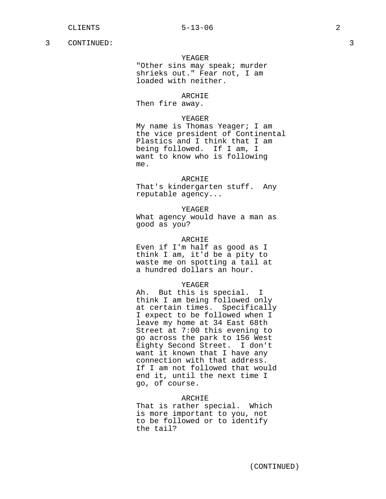#### YEAGER

"Other sins may speak; murder shrieks out." Fear not, I am loaded with neither.

#### ARCHIE

Then fire away.

#### YEAGER

My name is Thomas Yeager; I am the vice president of Continental Plastics and I think that I am being followed. If I am, I want to know who is following me.

# ARCHIE

That's kindergarten stuff. Any reputable agency...

#### YEAGER

What agency would have a man as good as you?

# ARCHIE

Even if I'm half as good as I think I am, it'd be a pity to waste me on spotting a tail at a hundred dollars an hour.

# YEAGER

Ah. But this is special. I think I am being followed only at certain times. Specifically I expect to be followed when I leave my home at 34 East 68th Street at 7:00 this evening to go across the park to 156 West Eighty Second Street. I don't want it known that I have any connection with that address. If I am not followed that would end it, until the next time I go, of course.

#### ARCHIE

That is rather special. Which is more important to you, not to be followed or to identify the tail?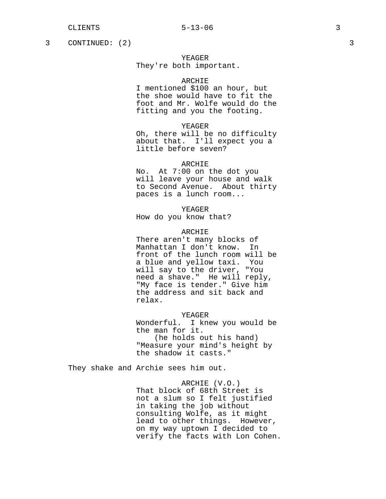3 CONTINUED: (2) 3

# YEAGER

# They're both important.

# ARCHIE

I mentioned \$100 an hour, but the shoe would have to fit the foot and Mr. Wolfe would do the fitting and you the footing.

#### YEAGER

Oh, there will be no difficulty about that. I'll expect you a little before seven?

#### ARCHIE

No. At 7:00 on the dot you will leave your house and walk to Second Avenue. About thirty paces is a lunch room...

YEAGER

How do you know that?

# ARCHIE

There aren't many blocks of Manhattan I don't know. In front of the lunch room will be a blue and yellow taxi. You will say to the driver, "You need a shave." He will reply, "My face is tender." Give him the address and sit back and relax.

#### YEAGER

Wonderful. I knew you would be the man for it. (he holds out his hand) "Measure your mind's height by the shadow it casts."

They shake and Archie sees him out.

ARCHIE (V.O.) That block of 68th Street is not a slum so I felt justified in taking the job without consulting Wolfe, as it might lead to other things. However, on my way uptown I decided to verify the facts with Lon Cohen.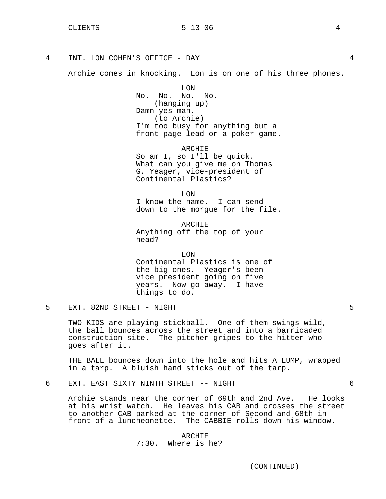# $CLIENTS$   $5-13-06$   $4$

4 INT. LON COHEN'S OFFICE - DAY 4

Archie comes in knocking. Lon is on one of his three phones.

LON No. No. No. No. (hanging up) Damn yes man. (to Archie) I'm too busy for anything but a front page lead or a poker game.

ARCHIE So am I, so I'll be quick. What can you give me on Thomas G. Yeager, vice-president of Continental Plastics?

LON I know the name. I can send down to the morgue for the file.

ARCHIE Anything off the top of your head?

LON

Continental Plastics is one of the big ones. Yeager's been vice president going on five years. Now go away. I have things to do.

5 EXT. 82ND STREET - NIGHT 5

TWO KIDS are playing stickball. One of them swings wild, the ball bounces across the street and into a barricaded construction site. The pitcher gripes to the hitter who goes after it.

THE BALL bounces down into the hole and hits A LUMP, wrapped in a tarp. A bluish hand sticks out of the tarp.

6 EXT. EAST SIXTY NINTH STREET -- NIGHT 6

Archie stands near the corner of 69th and 2nd Ave. He looks at his wrist watch. He leaves his CAB and crosses the street to another CAB parked at the corner of Second and 68th in front of a luncheonette. The CABBIE rolls down his window.

> ARCHIE 7:30. Where is he?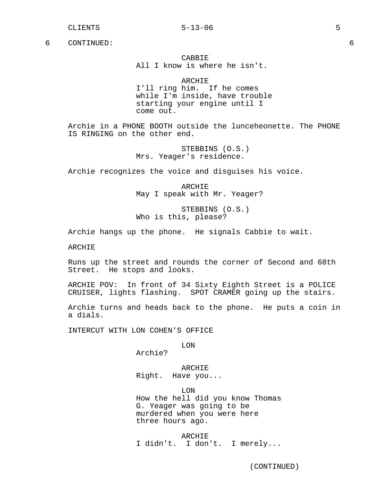CABBIE All I know is where he isn't.

ARCHIE I'll ring him. If he comes while I'm inside, have trouble starting your engine until I come out.

Archie in a PHONE BOOTH outside the lunceheonette. The PHONE IS RINGING on the other end.

> STEBBINS (O.S.) Mrs. Yeager's residence.

Archie recognizes the voice and disguises his voice.

ARCHIE May I speak with Mr. Yeager?

STEBBINS (O.S.) Who is this, please?

Archie hangs up the phone. He signals Cabbie to wait.

ARCHIE

Runs up the street and rounds the corner of Second and 68th Street. He stops and looks.

ARCHIE POV: In front of 34 Sixty Eighth Street is a POLICE CRUISER, lights flashing. SPOT CRAMER going up the stairs.

Archie turns and heads back to the phone. He puts a coin in a dials.

INTERCUT WITH LON COHEN'S OFFICE

LON

Archie?

ARCHIE Right. Have you...

LON How the hell did you know Thomas G. Yeager was going to be murdered when you were here three hours ago.

ARCHIE I didn't. I don't. I merely...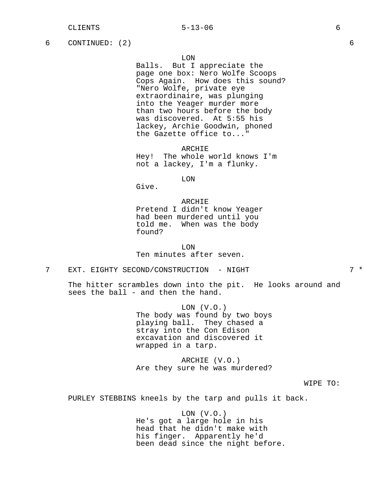6 CONTINUED: (2) 6

LON

Balls. But I appreciate the page one box: Nero Wolfe Scoops Cops Again. How does this sound? "Nero Wolfe, private eye extraordinaire, was plunging into the Yeager murder more than two hours before the body was discovered. At 5:55 his lackey, Archie Goodwin, phoned the Gazette office to..."

ARCHIE Hey! The whole world knows I'm not a lackey, I'm a flunky.

LON

Give.

ARCHIE Pretend I didn't know Yeager had been murdered until you told me. When was the body found?

LON Ten minutes after seven.

7 EXT. EIGHTY SECOND/CONSTRUCTION - NIGHT 7 \*

The hitter scrambles down into the pit. He looks around and sees the ball - and then the hand.

> LON (V.O.) The body was found by two boys playing ball. They chased a stray into the Con Edison excavation and discovered it wrapped in a tarp.

> ARCHIE (V.O.) Are they sure he was murdered?

> > WIPE TO:

PURLEY STEBBINS kneels by the tarp and pulls it back.

 $LON$   $(V.O.)$ He's got a large hole in his head that he didn't make with his finger. Apparently he'd been dead since the night before.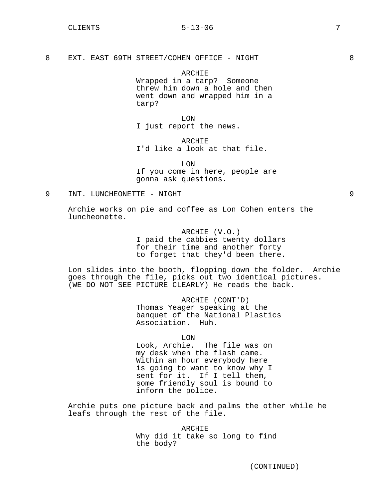8 EXT. EAST 69TH STREET/COHEN OFFICE - NIGHT 38

ARCHIE Wrapped in a tarp? Someone threw him down a hole and then went down and wrapped him in a tarp?

LON I just report the news.

ARCHIE I'd like a look at that file.

LON If you come in here, people are gonna ask questions.

9 INT. LUNCHEONETTE - NIGHT 9

Archie works on pie and coffee as Lon Cohen enters the luncheonette.

> ARCHIE (V.O.) I paid the cabbies twenty dollars for their time and another forty to forget that they'd been there.

Lon slides into the booth, flopping down the folder. Archie goes through the file, picks out two identical pictures. (WE DO NOT SEE PICTURE CLEARLY) He reads the back.

> ARCHIE (CONT'D) Thomas Yeager speaking at the banquet of the National Plastics Association. Huh.

> > LON

Look, Archie. The file was on my desk when the flash came. Within an hour everybody here is going to want to know why I sent for it. If I tell them, some friendly soul is bound to inform the police.

Archie puts one picture back and palms the other while he leafs through the rest of the file.

> ARCHIE Why did it take so long to find the body?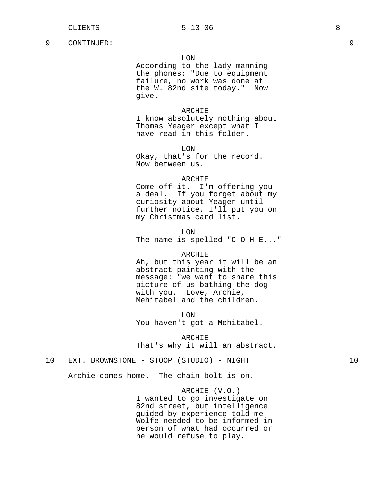#### LON

According to the lady manning the phones: "Due to equipment failure, no work was done at the W. 82nd site today." Now give.

### ARCHIE

I know absolutely nothing about Thomas Yeager except what I have read in this folder.

LON Okay, that's for the record. Now between us.

#### ARCHIE

Come off it. I'm offering you a deal. If you forget about my curiosity about Yeager until further notice, I'll put you on my Christmas card list.

LON The name is spelled "C-O-H-E..."

#### ARCHIE

Ah, but this year it will be an abstract painting with the message: "we want to share this picture of us bathing the dog with you. Love, Archie, Mehitabel and the children.

LON You haven't got a Mehitabel.

ARCHIE

That's why it will an abstract.

# 10 EXT. BROWNSTONE - STOOP (STUDIO) - NIGHT 10

Archie comes home. The chain bolt is on.

ARCHIE (V.O.) I wanted to go investigate on 82nd street, but intelligence guided by experience told me Wolfe needed to be informed in person of what had occurred or he would refuse to play.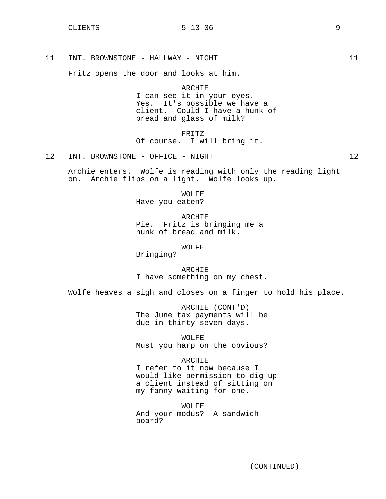11 INT. BROWNSTONE - HALLWAY - NIGHT 11

Fritz opens the door and looks at him.

ARCHIE I can see it in your eyes. Yes. It's possible we have a client. Could I have a hunk of bread and glass of milk?

FRITZ Of course. I will bring it.

12 INT. BROWNSTONE - OFFICE - NIGHT 12

Archie enters. Wolfe is reading with only the reading light on. Archie flips on a light. Wolfe looks up.

WOLFE

Have you eaten?

ARCHIE Pie. Fritz is bringing me a hunk of bread and milk.

WOLFE

Bringing?

ARCHIE I have something on my chest.

Wolfe heaves a sigh and closes on a finger to hold his place.

ARCHIE (CONT'D) The June tax payments will be due in thirty seven days.

WOLFE

Must you harp on the obvious?

ARCHIE

I refer to it now because I would like permission to dig up a client instead of sitting on my fanny waiting for one.

WOLFE And your modus? A sandwich board?

(CONTINUED)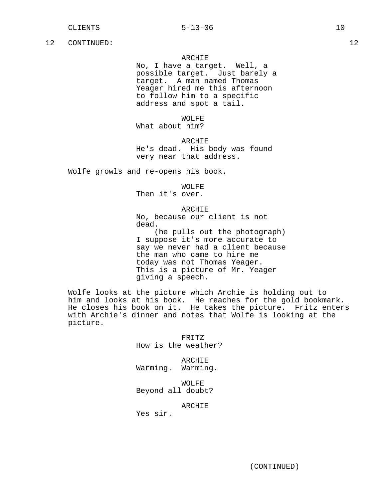# ARCHIE

No, I have a target. Well, a possible target. Just barely a target. A man named Thomas Yeager hired me this afternoon to follow him to a specific address and spot a tail.

WOLFE

What about him?

ARCHIE He's dead. His body was found very near that address.

Wolfe growls and re-opens his book.

WOLFE

Then it's over.

#### ARCHIE

No, because our client is not dead.

(he pulls out the photograph) I suppose it's more accurate to say we never had a client because the man who came to hire me today was not Thomas Yeager. This is a picture of Mr. Yeager giving a speech.

Wolfe looks at the picture which Archie is holding out to him and looks at his book. He reaches for the gold bookmark. He closes his book on it. He takes the picture. Fritz enters with Archie's dinner and notes that Wolfe is looking at the picture.

> FRITZ How is the weather?

ARCHIE Warming. Warming.

WOLFE Beyond all doubt?

ARCHIE

Yes sir.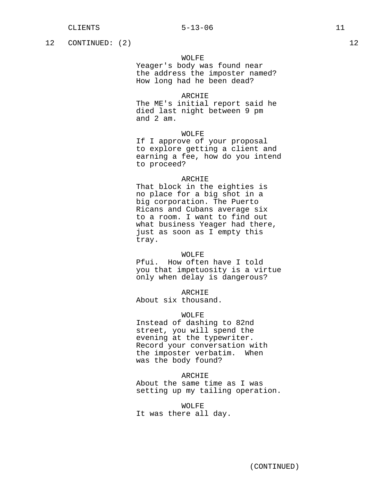12 CONTINUED: (2) 12

# WOLFE

Yeager's body was found near the address the imposter named? How long had he been dead?

# ARCHIE

The ME's initial report said he died last night between 9 pm and 2 am.

### WOLFE

If I approve of your proposal to explore getting a client and earning a fee, how do you intend to proceed?

#### ARCHIE

That block in the eighties is no place for a big shot in a big corporation. The Puerto Ricans and Cubans average six to a room. I want to find out what business Yeager had there, just as soon as I empty this tray.

### WOLFE

Pfui. How often have I told you that impetuosity is a virtue only when delay is dangerous?

ARCHIE

About six thousand.

# WOLFE

Instead of dashing to 82nd street, you will spend the evening at the typewriter. Record your conversation with the imposter verbatim. When was the body found?

#### ARCHIE

About the same time as I was setting up my tailing operation.

WOLFE It was there all day.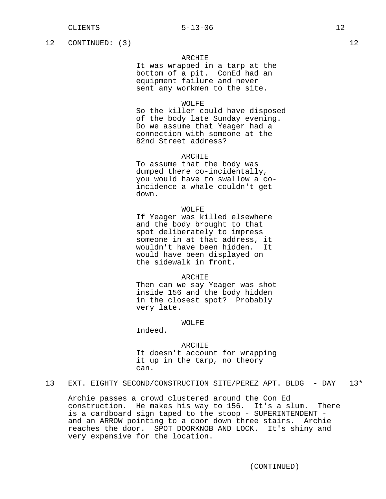12 CONTINUED: (3) 12

# ARCHIE

It was wrapped in a tarp at the bottom of a pit. ConEd had an equipment failure and never sent any workmen to the site.

#### WOLFE

So the killer could have disposed of the body late Sunday evening. Do we assume that Yeager had a connection with someone at the 82nd Street address?

# ARCHIE

To assume that the body was dumped there co-incidentally, you would have to swallow a coincidence a whale couldn't get down.

#### WOLFE

If Yeager was killed elsewhere and the body brought to that spot deliberately to impress someone in at that address, it wouldn't have been hidden. It would have been displayed on the sidewalk in front.

#### ARCHIE

Then can we say Yeager was shot inside 156 and the body hidden in the closest spot? Probably very late.

# WOLFE

Indeed.

ARCHIE It doesn't account for wrapping it up in the tarp, no theory can.

13 EXT. EIGHTY SECOND/CONSTRUCTION SITE/PEREZ APT. BLDG - DAY 13\*

Archie passes a crowd clustered around the Con Ed construction. He makes his way to 156. It's a slum. There is a cardboard sign taped to the stoop - SUPERINTENDENT and an ARROW pointing to a door down three stairs. Archie reaches the door. SPOT DOORKNOB AND LOCK. It's shiny and very expensive for the location.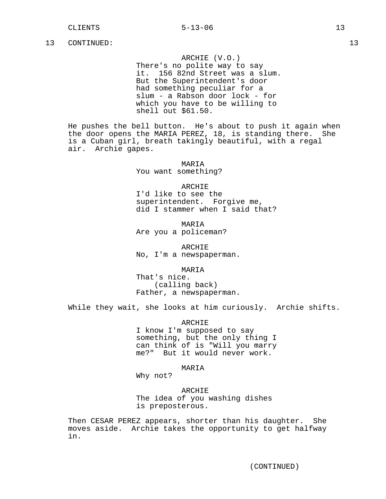ARCHIE (V.O.)

There's no polite way to say it. 156 82nd Street was a slum. But the Superintendent's door had something peculiar for a slum - a Rabson door lock - for which you have to be willing to shell out \$61.50.

He pushes the bell button. He's about to push it again when the door opens the MARIA PEREZ, 18, is standing there. She is a Cuban girl, breath takingly beautiful, with a regal air. Archie gapes.

> MARIA You want something?

## ARCHIE

I'd like to see the superintendent. Forgive me, did I stammer when I said that?

MARIA Are you a policeman?

ARCHIE No, I'm a newspaperman.

MARIA

That's nice. (calling back) Father, a newspaperman.

While they wait, she looks at him curiously. Archie shifts.

ARCHIE I know I'm supposed to say something, but the only thing I can think of is "Will you marry me?" But it would never work.

#### MARIA

Why not?

ARCHIE The idea of you washing dishes is preposterous.

Then CESAR PEREZ appears, shorter than his daughter. She moves aside. Archie takes the opportunity to get halfway in.

(CONTINUED)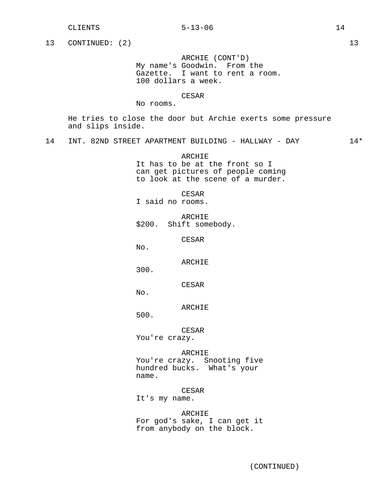#### CLIENTS 5-13-06 14

# 13 CONTINUED: (2) 13

ARCHIE (CONT'D) My name's Goodwin. From the Gazette. I want to rent a room. 100 dollars a week.

#### CESAR

# No rooms.

He tries to close the door but Archie exerts some pressure and slips inside.

14 INT. 82ND STREET APARTMENT BUILDING - HALLWAY - DAY 14\*

# ARCHIE It has to be at the front so I can get pictures of people coming to look at the scene of a murder.

CESAR

I said no rooms.

ARCHIE \$200. Shift somebody.

CESAR

No.

ARCHIE

300.

CESAR

No.

ARCHIE

500.

CESAR You're crazy.

# ARCHIE

You're crazy. Snooting five hundred bucks. What's your name.

# CESAR

It's my name.

ARCHIE For god's sake, I can get it from anybody on the block.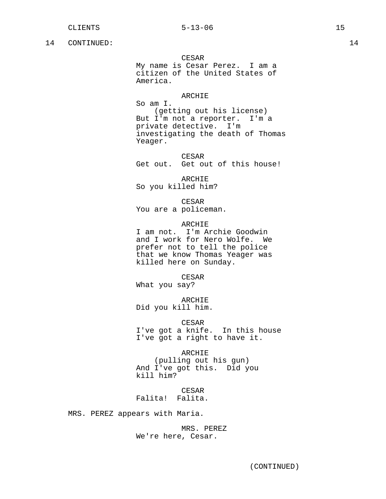#### CESAR

My name is Cesar Perez. I am a citizen of the United States of America.

#### ARCHIE

So am I. (getting out his license) But I'm not a reporter. I'm a private detective. I'm investigating the death of Thomas Yeager.

CESAR Get out. Get out of this house!

ARCHIE So you killed him?

CESAR You are a policeman.

#### ARCHIE

I am not. I'm Archie Goodwin and I work for Nero Wolfe. We prefer not to tell the police that we know Thomas Yeager was killed here on Sunday.

CESAR What you say?

ARCHIE Did you kill him.

CESAR I've got a knife. In this house I've got a right to have it.

ARCHIE (pulling out his gun) And I've got this. Did you kill him?

CESAR Falita! Falita.

MRS. PEREZ appears with Maria.

MRS. PEREZ We're here, Cesar.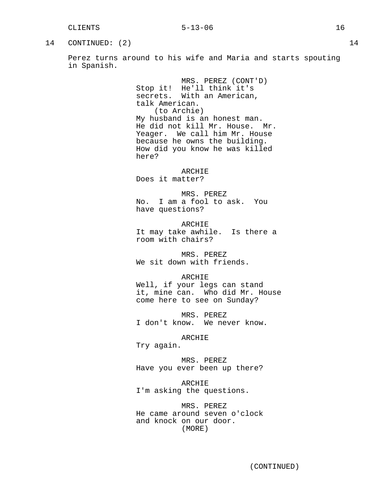# 14 CONTINUED: (2) 14

Perez turns around to his wife and Maria and starts spouting in Spanish.

> MRS. PEREZ (CONT'D) Stop it! He'll think it's secrets. With an American, talk American. (to Archie) My husband is an honest man. He did not kill Mr. House. Mr. Yeager. We call him Mr. House because he owns the building. How did you know he was killed here?

> > ARCHIE

Does it matter?

MRS. PEREZ No. I am a fool to ask. You have questions?

ARCHIE It may take awhile. Is there a room with chairs?

MRS. PEREZ We sit down with friends.

#### ARCHIE

Well, if your legs can stand it, mine can. Who did Mr. House come here to see on Sunday?

MRS. PEREZ I don't know. We never know.

# ARCHIE

Try again.

MRS. PEREZ Have you ever been up there?

ARCHIE I'm asking the questions.

MRS. PEREZ He came around seven o'clock and knock on our door. (MORE)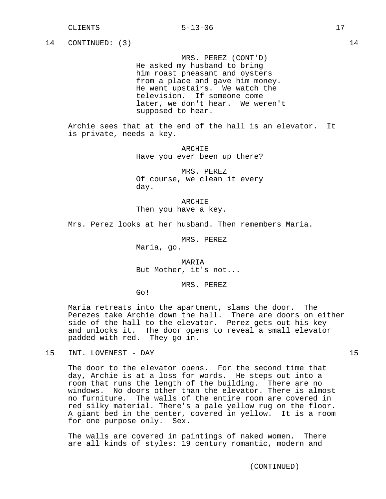MRS. PEREZ (CONT'D) He asked my husband to bring him roast pheasant and oysters from a place and gave him money. He went upstairs. We watch the television. If someone come later, we don't hear. We weren't supposed to hear.

Archie sees that at the end of the hall is an elevator. It is private, needs a key.

> ARCHIE Have you ever been up there?

> MRS. PEREZ Of course, we clean it every day.

ARCHIE Then you have a key.

Mrs. Perez looks at her husband. Then remembers Maria.

MRS. PEREZ Maria, go.

MARIA But Mother, it's not...

MRS. PEREZ

Go!

Maria retreats into the apartment, slams the door. The Perezes take Archie down the hall. There are doors on either side of the hall to the elevator. Perez gets out his key and unlocks it. The door opens to reveal a small elevator padded with red. They go in.

The door to the elevator opens. For the second time that day, Archie is at a loss for words. He steps out into a room that runs the length of the building. There are no windows. No doors other than the elevator. There is almost no furniture. The walls of the entire room are covered in red silky material. There's a pale yellow rug on the floor. A giant bed in the center, covered in yellow. It is a room for one purpose only. Sex.

The walls are covered in paintings of naked women. There are all kinds of styles: 19 century romantic, modern and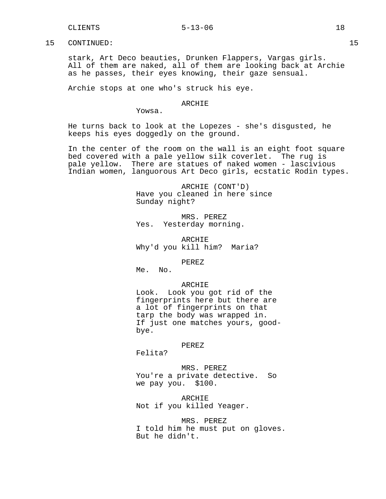stark, Art Deco beauties, Drunken Flappers, Vargas girls. All of them are naked, all of them are looking back at Archie as he passes, their eyes knowing, their gaze sensual.

Archie stops at one who's struck his eye.

# ARCHIE

Yowsa.

He turns back to look at the Lopezes - she's disgusted, he keeps his eyes doggedly on the ground.

In the center of the room on the wall is an eight foot square bed covered with a pale yellow silk coverlet. The rug is pale yellow. There are statues of naked women - lascivious Indian women, languorous Art Deco girls, ecstatic Rodin types.

> ARCHIE (CONT'D) Have you cleaned in here since Sunday night?

MRS. PEREZ Yes. Yesterday morning.

ARCHIE Why'd you kill him? Maria?

PEREZ

Me. No.

#### ARCHIE

Look. Look you got rid of the fingerprints here but there are a lot of fingerprints on that tarp the body was wrapped in. If just one matches yours, goodbye.

#### PEREZ

Felita?

MRS. PEREZ You're a private detective. So we pay you. \$100.

ARCHIE Not if you killed Yeager.

MRS. PEREZ I told him he must put on gloves. But he didn't.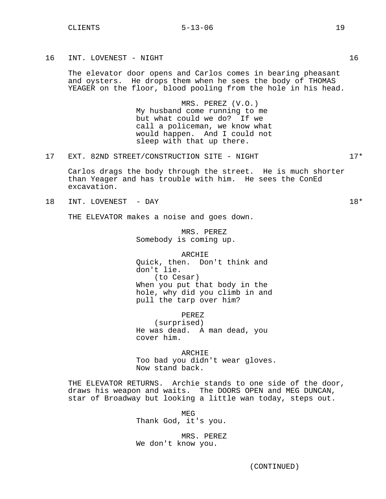16 INT. LOVENEST - NIGHT 16

The elevator door opens and Carlos comes in bearing pheasant and oysters. He drops them when he sees the body of THOMAS YEAGER on the floor, blood pooling from the hole in his head.

> MRS. PEREZ (V.O.) My husband come running to me but what could we do? If we call a policeman, we know what would happen. And I could not sleep with that up there.

17 EXT. 82ND STREET/CONSTRUCTION SITE - NIGHT 17\*

Carlos drags the body through the street. He is much shorter than Yeager and has trouble with him. He sees the ConEd excavation.

18 INT. LOVENEST - DAY 18\*

THE ELEVATOR makes a noise and goes down.

MRS. PEREZ Somebody is coming up.

ARCHIE Quick, then. Don't think and don't lie. (to Cesar) When you put that body in the hole, why did you climb in and pull the tarp over him?

PEREZ (surprised) He was dead. A man dead, you cover him.

ARCHIE Too bad you didn't wear gloves. Now stand back.

THE ELEVATOR RETURNS. Archie stands to one side of the door, draws his weapon and waits. The DOORS OPEN and MEG DUNCAN, star of Broadway but looking a little wan today, steps out.

> MEG Thank God, it's you.

MRS. PEREZ We don't know you.

(CONTINUED)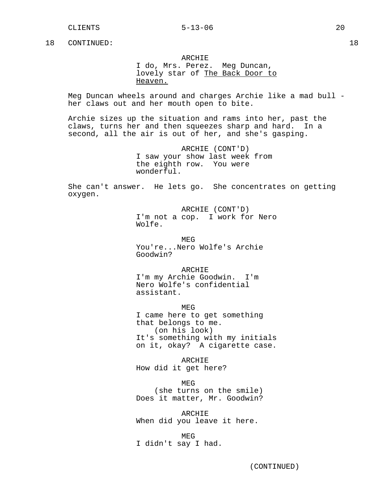ARCHIE

I do, Mrs. Perez. Meg Duncan, lovely star of The Back Door to Heaven.

Meg Duncan wheels around and charges Archie like a mad bull her claws out and her mouth open to bite.

Archie sizes up the situation and rams into her, past the claws, turns her and then squeezes sharp and hard. In a second, all the air is out of her, and she's gasping.

> ARCHIE (CONT'D) I saw your show last week from the eighth row. You were wonderful.

She can't answer. He lets go. She concentrates on getting oxygen.

> ARCHIE (CONT'D) I'm not a cop. I work for Nero Wolfe.

MEG You're...Nero Wolfe's Archie Goodwin?

ARCHIE I'm my Archie Goodwin. I'm Nero Wolfe's confidential assistant.

MEG I came here to get something that belongs to me. (on his look) It's something with my initials on it, okay? A cigarette case.

ARCHIE How did it get here?

MEG (she turns on the smile) Does it matter, Mr. Goodwin?

ARCHIE When did you leave it here.

MEG I didn't say I had.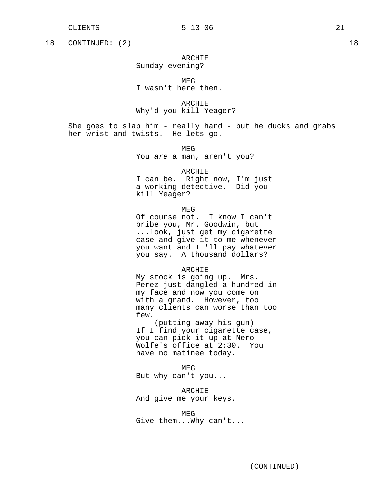18 CONTINUED: (2) 18

ARCHIE Sunday evening?

MEG I wasn't here then.

ARCHIE Why'd you kill Yeager?

She goes to slap him - really hard - but he ducks and grabs her wrist and twists. He lets go.

> MEG You are a man, aren't you?

> > ARCHIE

I can be. Right now, I'm just a working detective. Did you kill Yeager?

MEG

Of course not. I know I can't bribe you, Mr. Goodwin, but ...look, just get my cigarette case and give it to me whenever you want and I 'll pay whatever you say. A thousand dollars?

# ARCHIE

My stock is going up. Mrs. Perez just dangled a hundred in my face and now you come on with a grand. However, too many clients can worse than too few.

(putting away his gun) If I find your cigarette case, you can pick it up at Nero Wolfe's office at 2:30. You have no matinee today.

MEG

But why can't you...

ARCHIE

And give me your keys.

MEG Give them...Why can't...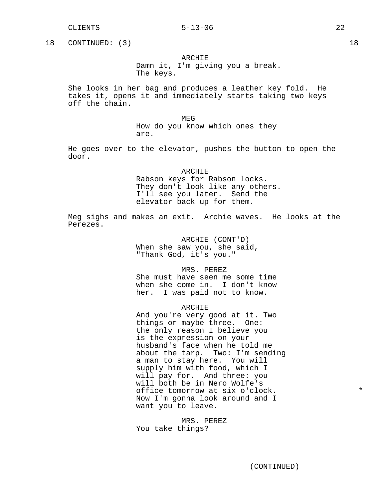#### CLIENTS 5-13-06 22

18 CONTINUED: (3) 18

# ARCHIE

Damn it, I'm giving you a break. The keys.

She looks in her bag and produces a leather key fold. He takes it, opens it and immediately starts taking two keys off the chain.

MEG

How do you know which ones they are.

He goes over to the elevator, pushes the button to open the door.

#### **ARCHIE**

Rabson keys for Rabson locks. They don't look like any others. I'll see you later. Send the elevator back up for them.

Meg sighs and makes an exit. Archie waves. He looks at the Perezes.

> ARCHIE (CONT'D) When she saw you, she said, "Thank God, it's you."

> > MRS. PEREZ

She must have seen me some time when she come in. I don't know her. I was paid not to know.

#### ARCHIE

And you're very good at it. Two things or maybe three. One: the only reason I believe you is the expression on your husband's face when he told me about the tarp. Two: I'm sending a man to stay here. You will supply him with food, which I will pay for. And three: you will both be in Nero Wolfe's office tomorrow at six o'clock. \* Now I'm gonna look around and I want you to leave.

MRS. PEREZ You take things?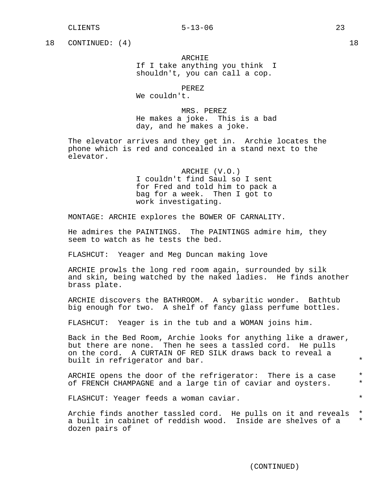18 CONTINUED: (4) 18

ARCHIE If I take anything you think I shouldn't, you can call a cop.

PEREZ

We couldn't.

MRS. PEREZ He makes a joke. This is a bad day, and he makes a joke.

The elevator arrives and they get in. Archie locates the phone which is red and concealed in a stand next to the elevator.

> ARCHIE (V.O.) I couldn't find Saul so I sent for Fred and told him to pack a bag for a week. Then I got to work investigating.

MONTAGE: ARCHIE explores the BOWER OF CARNALITY.

He admires the PAINTINGS. The PAINTINGS admire him, they seem to watch as he tests the bed.

FLASHCUT: Yeager and Meg Duncan making love

ARCHIE prowls the long red room again, surrounded by silk and skin, being watched by the naked ladies. He finds another brass plate.

ARCHIE discovers the BATHROOM. A sybaritic wonder. Bathtub big enough for two. A shelf of fancy glass perfume bottles.

FLASHCUT: Yeager is in the tub and a WOMAN joins him.

Back in the Bed Room, Archie looks for anything like a drawer, but there are none. Then he sees a tassled cord. He pulls on the cord. A CURTAIN OF RED SILK draws back to reveal a built in refrigerator and bar.  $*$ 

ARCHIE opens the door of the refrigerator: There is a case \* of FRENCH CHAMPAGNE and a large tin of caviar and oysters. \*

FLASHCUT: Yeager feeds a woman caviar.

Archie finds another tassled cord. He pulls on it and reveals \* a built in cabinet of reddish wood. Inside are shelves of a \* dozen pairs of

(CONTINUED)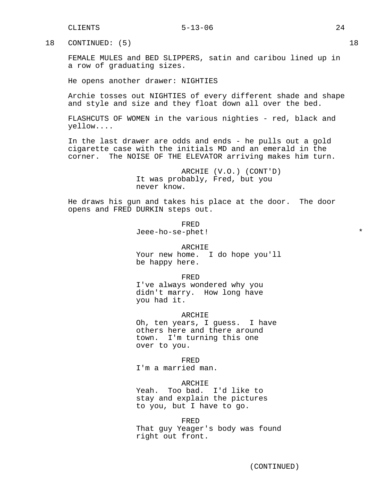18 CONTINUED: (5) 18

FEMALE MULES and BED SLIPPERS, satin and caribou lined up in a row of graduating sizes.

He opens another drawer: NIGHTIES

Archie tosses out NIGHTIES of every different shade and shape and style and size and they float down all over the bed.

FLASHCUTS OF WOMEN in the various nighties - red, black and yellow....

In the last drawer are odds and ends - he pulls out a gold cigarette case with the initials MD and an emerald in the corner. The NOISE OF THE ELEVATOR arriving makes him turn.

> ARCHIE (V.O.) (CONT'D) It was probably, Fred, but you never know.

He draws his gun and takes his place at the door. The door opens and FRED DURKIN steps out.

> FRED Jeee-ho-se-phet! \*

you had it.

ARCHIE Your new home. I do hope you'll be happy here.

FRED I've always wondered why you didn't marry. How long have

ARCHIE Oh, ten years, I guess. I have others here and there around town. I'm turning this one over to you.

FRED I'm a married man.

#### ARCHIE

Yeah. Too bad. I'd like to stay and explain the pictures to you, but I have to go.

#### FRED

That guy Yeager's body was found right out front.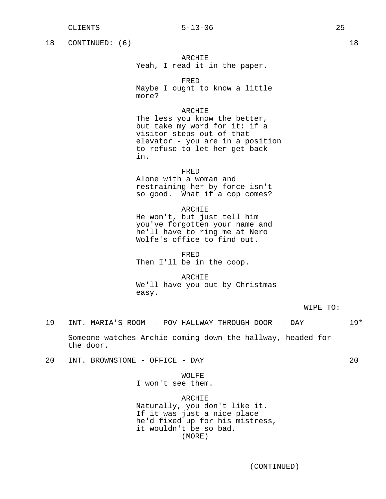18 CONTINUED: (6) 18

# ARCHIE

Yeah, I read it in the paper.

FRED

Maybe I ought to know a little more?

# ARCHIE

The less you know the better, but take my word for it: if a visitor steps out of that elevator - you are in a position to refuse to let her get back in.

#### FRED

Alone with a woman and restraining her by force isn't so good. What if a cop comes?

#### ARCHIE

He won't, but just tell him you've forgotten your name and he'll have to ring me at Nero Wolfe's office to find out.

#### FRED

Then I'll be in the coop.

#### ARCHIE

We'll have you out by Christmas easy.

WIPE TO:

19 INT. MARIA'S ROOM - POV HALLWAY THROUGH DOOR -- DAY 19\*

Someone watches Archie coming down the hallway, headed for the door.

20 INT. BROWNSTONE - OFFICE - DAY 20

# WOLFE I won't see them.

#### ARCHIE

Naturally, you don't like it. If it was just a nice place he'd fixed up for his mistress, it wouldn't be so bad. (MORE)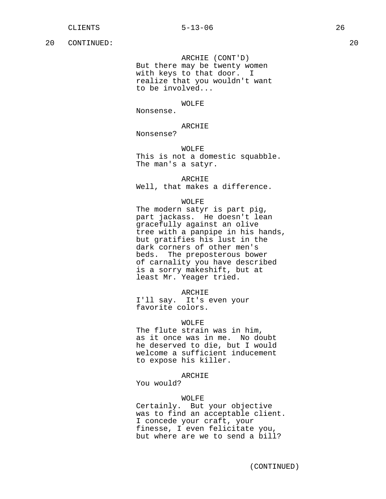ARCHIE (CONT'D) But there may be twenty women with keys to that door. I realize that you wouldn't want to be involved...

WOLFE

Nonsense.

### ARCHIE

Nonsense?

WOLFE This is not a domestic squabble. The man's a satyr.

ARCHIE

Well, that makes a difference.

# WOLFE

The modern satyr is part pig, part jackass. He doesn't lean gracefully against an olive tree with a panpipe in his hands, but gratifies his lust in the dark corners of other men's beds. The preposterous bower of carnality you have described is a sorry makeshift, but at least Mr. Yeager tried.

ARCHIE

I'll say. It's even your favorite colors.

#### WOLFE

The flute strain was in him, as it once was in me. No doubt he deserved to die, but I would welcome a sufficient inducement to expose his killer.

#### ARCHIE

You would?

# WOLFE

Certainly. But your objective was to find an acceptable client. I concede your craft, your finesse, I even felicitate you, but where are we to send a bill?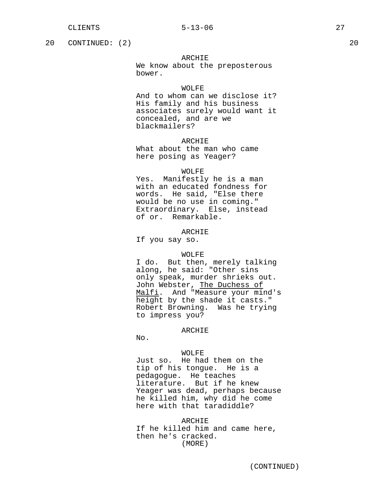20 CONTINUED: (2) 20

# ARCHIE

We know about the preposterous bower.

# WOLFF.

And to whom can we disclose it? His family and his business associates surely would want it concealed, and are we blackmailers?

# ARCHIE

What about the man who came here posing as Yeager?

#### WOLFE

Yes. Manifestly he is a man with an educated fondness for words. He said, "Else there would be no use in coming." Extraordinary. Else, instead of or. Remarkable.

# ARCHIE

If you say so.

#### WOLFE

I do. But then, merely talking along, he said: "Other sins only speak, murder shrieks out. John Webster, The Duchess of Malfi. And "Measure your mind's height by the shade it casts." Robert Browning. Was he trying to impress you?

#### ARCHIE

No.

#### WOLFE

Just so. He had them on the tip of his tongue. He is a pedagogue. He teaches literature. But if he knew Yeager was dead, perhaps because he killed him, why did he come here with that taradiddle?

ARCHIE If he killed him and came here, then he's cracked. (MORE)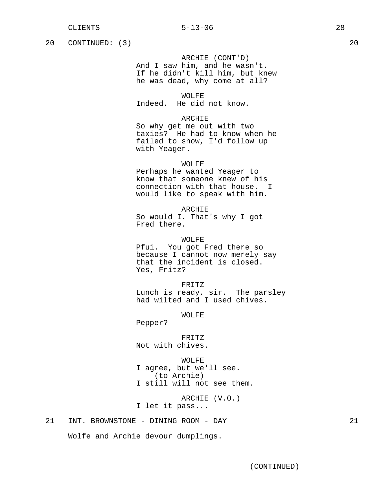20 CONTINUED: (3) 20

ARCHIE (CONT'D) And I saw him, and he wasn't. If he didn't kill him, but knew he was dead, why come at all?

WOLFE Indeed. He did not know.

# ARCHIE

So why get me out with two taxies? He had to know when he failed to show, I'd follow up with Yeager.

#### WOLFE

Perhaps he wanted Yeager to know that someone knew of his connection with that house. I would like to speak with him.

## ARCHIE

So would I. That's why I got Fred there.

WOLFE Pfui. You got Fred there so because I cannot now merely say that the incident is closed. Yes, Fritz?

FRITZ Lunch is ready, sir. The parsley had wilted and I used chives.

WOLFE

Pepper?

#### FRITZ

Not with chives.

#### WOLFE

I agree, but we'll see. (to Archie) I still will not see them.

ARCHIE (V.O.) I let it pass...

# 21 INT. BROWNSTONE - DINING ROOM - DAY 21

Wolfe and Archie devour dumplings.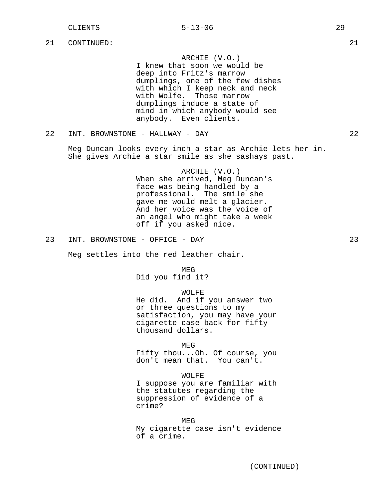ARCHIE (V.O.)

I knew that soon we would be deep into Fritz's marrow dumplings, one of the few dishes with which I keep neck and neck with Wolfe. Those marrow dumplings induce a state of mind in which anybody would see anybody. Even clients.

22 INT. BROWNSTONE - HALLWAY - DAY 22

Meg Duncan looks every inch a star as Archie lets her in. She gives Archie a star smile as she sashays past.

> ARCHIE (V.O.) When she arrived, Meg Duncan's face was being handled by a professional. The smile she gave me would melt a glacier. And her voice was the voice of an angel who might take a week off if you asked nice.

23 INT. BROWNSTONE - OFFICE - DAY 23

Meg settles into the red leather chair.

MEG

Did you find it?

#### WOLFE

He did. And if you answer two or three questions to my satisfaction, you may have your cigarette case back for fifty thousand dollars.

MEG

Fifty thou...Oh. Of course, you don't mean that. You can't.

#### WOLFE

I suppose you are familiar with the statutes regarding the suppression of evidence of a crime?

#### MEG

My cigarette case isn't evidence of a crime.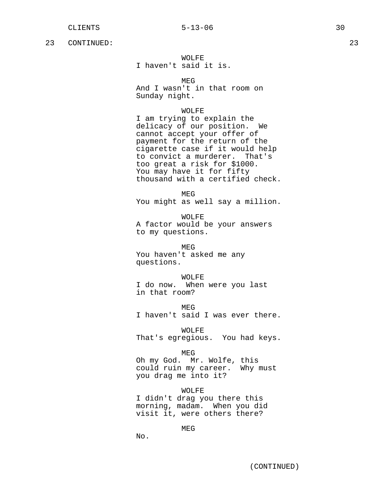# WOLFE

I haven't said it is.

MEG

And I wasn't in that room on Sunday night.

# WOLFE

I am trying to explain the delicacy of our position. We cannot accept your offer of payment for the return of the cigarette case if it would help to convict a murderer. That's too great a risk for \$1000. You may have it for fifty thousand with a certified check.

MEG

You might as well say a million.

WOLFE A factor would be your answers to my questions.

MEG You haven't asked me any questions.

#### WOLFE

I do now. When were you last in that room?

**MEG** I haven't said I was ever there.

WOLFE That's egregious. You had keys.

MEG

Oh my God. Mr. Wolfe, this could ruin my career. Why must you drag me into it?

WOLFE I didn't drag you there this morning, madam. When you did visit it, were others there?

MEG

No.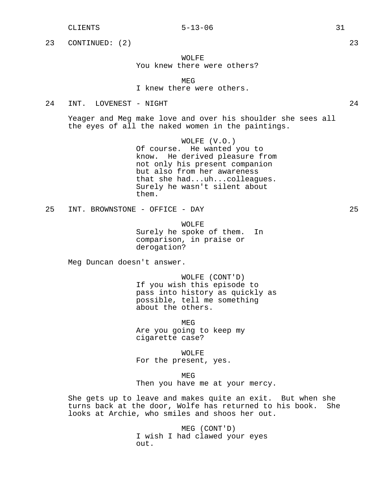# CLIENTS 5-13-06 31

23 CONTINUED: (2) 23

# WOLFE You knew there were others?

MEG I knew there were others.

# 24 INT. LOVENEST - NIGHT 24

Yeager and Meg make love and over his shoulder she sees all the eyes of all the naked women in the paintings.

> WOLFE (V.O.) Of course. He wanted you to know. He derived pleasure from not only his present companion but also from her awareness that she had...uh...colleagues. Surely he wasn't silent about them.

25 INT. BROWNSTONE - OFFICE - DAY 25

WOLFE Surely he spoke of them. In comparison, in praise or derogation?

Meg Duncan doesn't answer.

WOLFE (CONT'D) If you wish this episode to pass into history as quickly as possible, tell me something about the others.

MEG Are you going to keep my cigarette case?

WOLFE For the present, yes.

MEG Then you have me at your mercy.

She gets up to leave and makes quite an exit. But when she turns back at the door, Wolfe has returned to his book. She looks at Archie, who smiles and shoos her out.

> MEG (CONT'D) I wish I had clawed your eyes out.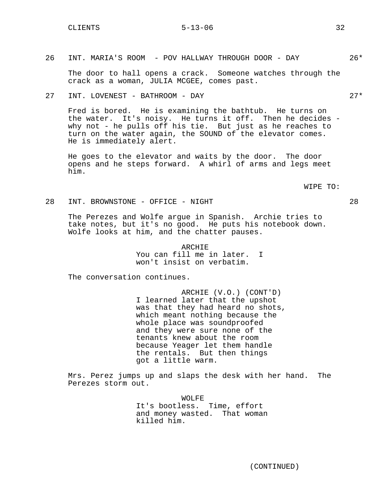26 INT. MARIA'S ROOM - POV HALLWAY THROUGH DOOR - DAY 26\*

The door to hall opens a crack. Someone watches through the crack as a woman, JULIA MCGEE, comes past.

27 INT. LOVENEST - BATHROOM - DAY 27\*

Fred is bored. He is examining the bathtub. He turns on the water. It's noisy. He turns it off. Then he decides why not - he pulls off his tie. But just as he reaches to turn on the water again, the SOUND of the elevator comes. He is immediately alert.

He goes to the elevator and waits by the door. The door opens and he steps forward. A whirl of arms and legs meet him.

WIPE TO:

28 INT. BROWNSTONE - OFFICE - NIGHT 28

The Perezes and Wolfe argue in Spanish. Archie tries to take notes, but it's no good. He puts his notebook down. Wolfe looks at him, and the chatter pauses.

> ARCHIE You can fill me in later. I won't insist on verbatim.

The conversation continues.

ARCHIE (V.O.) (CONT'D) I learned later that the upshot was that they had heard no shots, which meant nothing because the whole place was soundproofed and they were sure none of the tenants knew about the room because Yeager let them handle the rentals. But then things got a little warm.

Mrs. Perez jumps up and slaps the desk with her hand. The Perezes storm out.

> WOLFE It's bootless. Time, effort and money wasted. That woman killed him.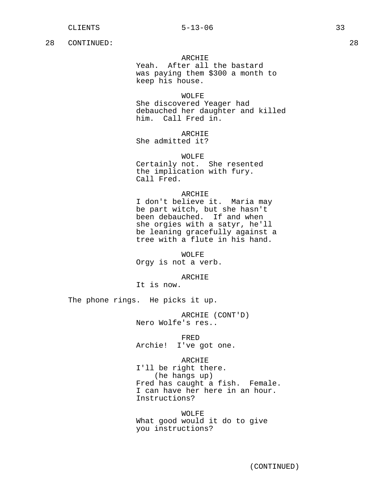# ARCHIE

Yeah. After all the bastard was paying them \$300 a month to keep his house.

#### WOLFE

She discovered Yeager had debauched her daughter and killed him. Call Fred in.

# ARCHIE

She admitted it?

# WOLFE

Certainly not. She resented the implication with fury. Call Fred.

#### ARCHIE

I don't believe it. Maria may be part witch, but she hasn't been debauched. If and when she orgies with a satyr, he'll be leaning gracefully against a tree with a flute in his hand.

WOLFE Orgy is not a verb.

ARCHIE

It is now.

The phone rings. He picks it up.

ARCHIE (CONT'D) Nero Wolfe's res..

FRED

Archie! I've got one.

#### ARCHIE

I'll be right there. (he hangs up) Fred has caught a fish. Female. I can have her here in an hour. Instructions?

WOLFE What good would it do to give you instructions?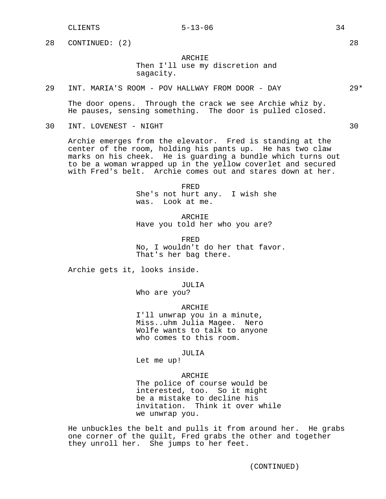CLIENTS 34

28 CONTINUED: (2) 28

# ARCHIE

Then I'll use my discretion and sagacity.

# 29 INT. MARIA'S ROOM - POV HALLWAY FROM DOOR - DAY 29\*

The door opens. Through the crack we see Archie whiz by. He pauses, sensing something. The door is pulled closed.

30 INT. LOVENEST - NIGHT 30

Archie emerges from the elevator. Fred is standing at the center of the room, holding his pants up. He has two claw marks on his cheek. He is guarding a bundle which turns out to be a woman wrapped up in the yellow coverlet and secured with Fred's belt. Archie comes out and stares down at her.

> FRED She's not hurt any. I wish she was. Look at me.

ARCHIE Have you told her who you are?

FRED No, I wouldn't do her that favor. That's her bag there.

Archie gets it, looks inside.

JULIA

Who are you?

ARCHIE

I'll unwrap you in a minute, Miss..uhm Julia Magee. Nero Wolfe wants to talk to anyone who comes to this room.

JULIA

Let me up!

#### ARCHIE

The police of course would be interested, too. So it might be a mistake to decline his invitation. Think it over while we unwrap you.

He unbuckles the belt and pulls it from around her. He grabs one corner of the quilt, Fred grabs the other and together they unroll her. She jumps to her feet.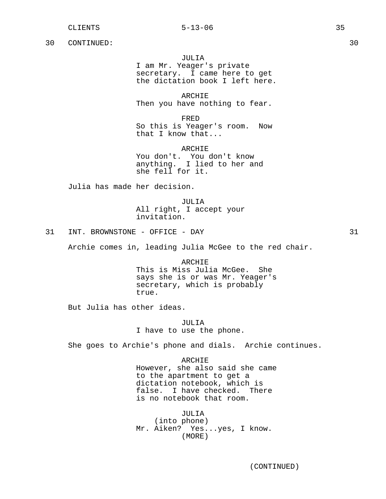JULIA

I am Mr. Yeager's private secretary. I came here to get the dictation book I left here.

ARCHIE Then you have nothing to fear.

FRED So this is Yeager's room. Now that I know that...

ARCHIE You don't. You don't know anything. I lied to her and she fell for it.

Julia has made her decision.

JULIA All right, I accept your invitation.

31 INT. BROWNSTONE - OFFICE - DAY 31

Archie comes in, leading Julia McGee to the red chair.

ARCHIE This is Miss Julia McGee. She says she is or was Mr. Yeager's secretary, which is probably true.

But Julia has other ideas.

JULIA I have to use the phone.

She goes to Archie's phone and dials. Archie continues.

ARCHIE However, she also said she came to the apartment to get a dictation notebook, which is false. I have checked. There is no notebook that room.

JULIA (into phone) Mr. Aiken? Yes...yes, I know. (MORE)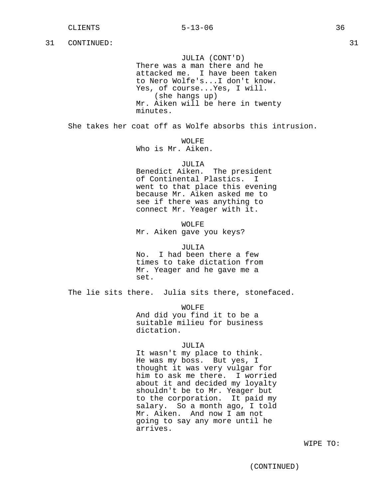JULIA (CONT'D) There was a man there and he attacked me. I have been taken to Nero Wolfe's...I don't know. Yes, of course...Yes, I will. (she hangs up) Mr. Aiken will be here in twenty minutes.

She takes her coat off as Wolfe absorbs this intrusion.

WOLFF.

Who is Mr. Aiken.

JULIA

Benedict Aiken. The president of Continental Plastics. went to that place this evening because Mr. Aiken asked me to see if there was anything to connect Mr. Yeager with it.

WOLFE Mr. Aiken gave you keys?

JULIA No. I had been there a few times to take dictation from Mr. Yeager and he gave me a set.

The lie sits there. Julia sits there, stonefaced.

WOLFE And did you find it to be a suitable milieu for business dictation.

# JULIA

It wasn't my place to think. He was my boss. But yes, I thought it was very vulgar for him to ask me there. I worried about it and decided my loyalty shouldn't be to Mr. Yeager but to the corporation. It paid my salary. So a month ago, I told Mr. Aiken. And now I am not going to say any more until he arrives.

WIPE TO: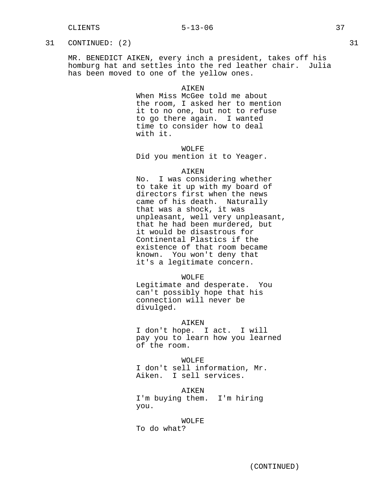# CLIENTS 5-13-06 37

## 31 CONTINUED: (2) 31

MR. BENEDICT AIKEN, every inch a president, takes off his homburg hat and settles into the red leather chair. Julia has been moved to one of the yellow ones.

#### **AIKEN**

When Miss McGee told me about the room, I asked her to mention it to no one, but not to refuse to go there again. I wanted time to consider how to deal with it.

WOLFE

Did you mention it to Yeager.

#### AIKEN

No. I was considering whether to take it up with my board of directors first when the news came of his death. Naturally that was a shock, it was unpleasant, well very unpleasant, that he had been murdered, but it would be disastrous for Continental Plastics if the existence of that room became known. You won't deny that it's a legitimate concern.

#### WOLFE

Legitimate and desperate. You can't possibly hope that his connection will never be divulged.

## AIKEN

I don't hope. I act. I will pay you to learn how you learned of the room.

WOLFE I don't sell information, Mr. Aiken. I sell services.

#### AIKEN

I'm buying them. I'm hiring you.

#### WOLFE

To do what?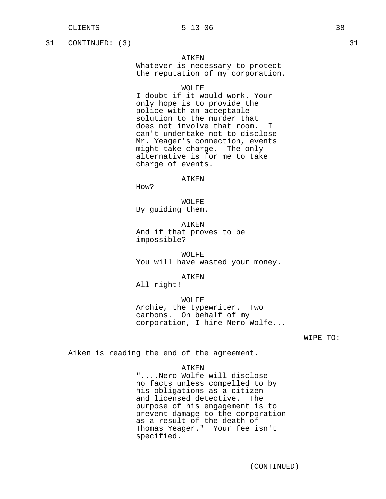31 CONTINUED: (3) 31

## AIKEN

Whatever is necessary to protect the reputation of my corporation.

## WOLFF.

I doubt if it would work. Your only hope is to provide the police with an acceptable solution to the murder that does not involve that room. I can't undertake not to disclose Mr. Yeager's connection, events might take charge. The only alternative is for me to take charge of events.

#### AIKEN

How?

WOLFE By guiding them.

AIKEN And if that proves to be impossible?

WOLFE You will have wasted your money.

AIKEN

All right!

WOLFE Archie, the typewriter. Two carbons. On behalf of my corporation, I hire Nero Wolfe...

## WIPE TO:

Aiken is reading the end of the agreement.

AIKEN "....Nero Wolfe will disclose no facts unless compelled to by his obligations as a citizen and licensed detective. The purpose of his engagement is to prevent damage to the corporation as a result of the death of Thomas Yeager." Your fee isn't specified.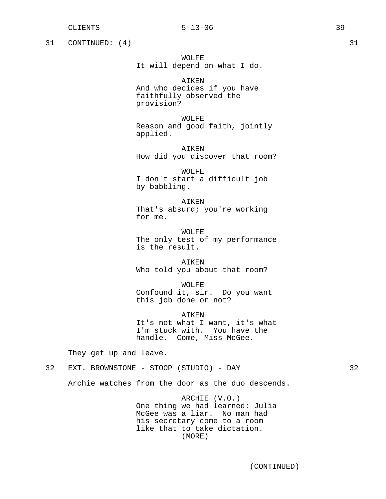31 CONTINUED: (4) 31

WOLFE It will depend on what I do.

AIKEN And who decides if you have faithfully observed the provision?

WOLFE Reason and good faith, jointly applied.

AIKEN How did you discover that room?

WOLFE I don't start a difficult job by babbling.

AIKEN That's absurd; you're working for me.

WOLFE The only test of my performance is the result.

AIKEN Who told you about that room?

WOLFE Confound it, sir. Do you want this job done or not?

AIKEN It's not what I want, it's what I'm stuck with. You have the handle. Come, Miss McGee.

They get up and leave.

32 EXT. BROWNSTONE - STOOP (STUDIO) - DAY 32

Archie watches from the door as the duo descends.

ARCHIE (V.O.) One thing we had learned: Julia McGee was a liar. No man had his secretary come to a room like that to take dictation. (MORE)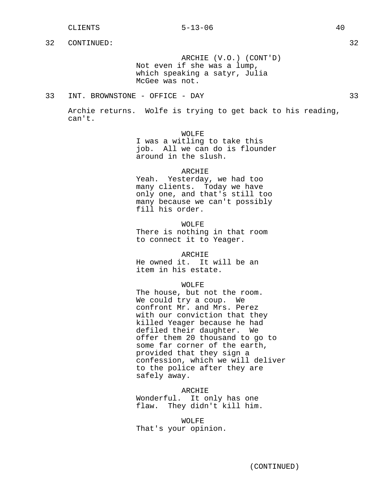ARCHIE (V.O.) (CONT'D) Not even if she was a lump, which speaking a satyr, Julia McGee was not.

33 INT. BROWNSTONE - OFFICE - DAY 33

Archie returns. Wolfe is trying to get back to his reading, can't.

> WOLFE I was a witling to take this job. All we can do is flounder around in the slush.

## **ARCHIE**

Yeah. Yesterday, we had too many clients. Today we have only one, and that's still too many because we can't possibly fill his order.

WOLFE There is nothing in that room to connect it to Yeager.

ARCHIE

He owned it. It will be an item in his estate.

WOLFE

The house, but not the room. We could try a coup. We confront Mr. and Mrs. Perez with our conviction that they killed Yeager because he had defiled their daughter. We offer them 20 thousand to go to some far corner of the earth, provided that they sign a confession, which we will deliver to the police after they are safely away.

ARCHIE Wonderful. It only has one flaw. They didn't kill him.

WOLFE That's your opinion.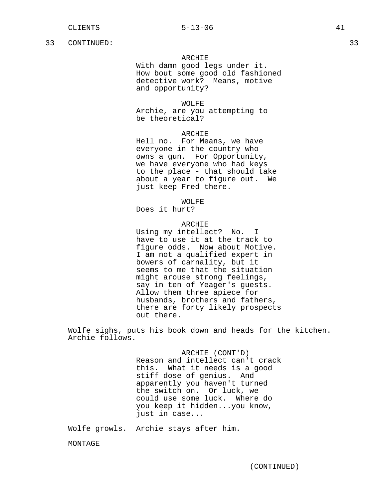## ARCHIE

With damn good legs under it. How bout some good old fashioned detective work? Means, motive and opportunity?

## WOLFE

Archie, are you attempting to be theoretical?

#### ARCHIE

Hell no. For Means, we have everyone in the country who owns a gun. For Opportunity, we have everyone who had keys to the place - that should take about a year to figure out. We just keep Fred there.

WOLFE

Does it hurt?

## ARCHIE

Using my intellect? No. I have to use it at the track to figure odds. Now about Motive. I am not a qualified expert in bowers of carnality, but it seems to me that the situation might arouse strong feelings, say in ten of Yeager's guests. Allow them three apiece for husbands, brothers and fathers, there are forty likely prospects out there.

Wolfe sighs, puts his book down and heads for the kitchen. Archie follows.

> ARCHIE (CONT'D) Reason and intellect can't crack this. What it needs is a good stiff dose of genius. And apparently you haven't turned the switch on. Or luck, we could use some luck. Where do you keep it hidden...you know, just in case...

Wolfe growls. Archie stays after him.

MONTAGE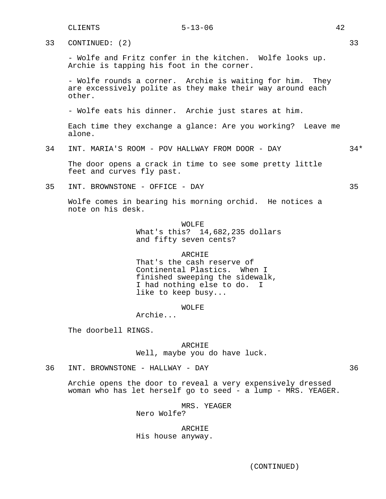33 CONTINUED: (2) 33

- Wolfe and Fritz confer in the kitchen. Wolfe looks up. Archie is tapping his foot in the corner.

- Wolfe rounds a corner. Archie is waiting for him. They are excessively polite as they make their way around each other.

- Wolfe eats his dinner. Archie just stares at him.

Each time they exchange a glance: Are you working? Leave me alone.

34 INT. MARIA'S ROOM - POV HALLWAY FROM DOOR - DAY 34\*

The door opens a crack in time to see some pretty little feet and curves fly past.

35 INT. BROWNSTONE - OFFICE - DAY 35

Wolfe comes in bearing his morning orchid. He notices a note on his desk.

> WOLFE What's this? 14,682,235 dollars and fifty seven cents?

> > **ARCHIE**

That's the cash reserve of Continental Plastics. When I finished sweeping the sidewalk, I had nothing else to do. like to keep busy...

WOLFE

Archie...

The doorbell RINGS.

ARCHIE Well, maybe you do have luck.

36 INT. BROWNSTONE - HALLWAY - DAY 36

Archie opens the door to reveal a very expensively dressed woman who has let herself go to seed - a lump - MRS. YEAGER.

> MRS. YEAGER Nero Wolfe?

ARCHIE His house anyway.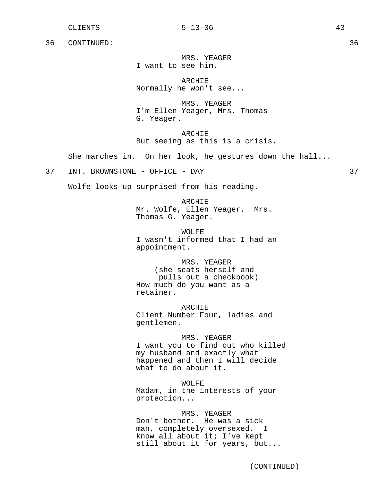MRS. YEAGER I want to see him.

ARCHIE Normally he won't see...

MRS. YEAGER I'm Ellen Yeager, Mrs. Thomas G. Yeager.

ARCHIE But seeing as this is a crisis.

She marches in. On her look, he gestures down the hall...

37 INT. BROWNSTONE - OFFICE - DAY 37

Wolfe looks up surprised from his reading.

ARCHIE Mr. Wolfe, Ellen Yeager. Mrs. Thomas G. Yeager.

WOLFE I wasn't informed that I had an appointment.

MRS. YEAGER (she seats herself and pulls out a checkbook) How much do you want as a retainer.

ARCHIE Client Number Four, ladies and gentlemen.

MRS. YEAGER I want you to find out who killed my husband and exactly what happened and then I will decide what to do about it.

WOLFE Madam, in the interests of your protection...

MRS. YEAGER Don't bother. He was a sick man, completely oversexed. I know all about it; I've kept still about it for years, but...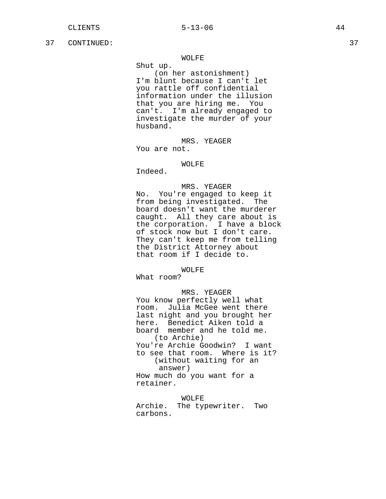#### WOLFE

Shut up.

(on her astonishment) I'm blunt because I can't let you rattle off confidential information under the illusion that you are hiring me. You can't. I'm already engaged to investigate the murder of your husband.

MRS. YEAGER You are not.

## WOLFE

Indeed.

## MRS. YEAGER

No. You're engaged to keep it from being investigated. The board doesn't want the murderer caught. All they care about is the corporation. I have a block of stock now but I don't care. They can't keep me from telling the District Attorney about that room if I decide to.

WOLFE

What room?

MRS. YEAGER You know perfectly well what room. Julia McGee went there last night and you brought her here. Benedict Aiken told a board member and he told me. (to Archie) You're Archie Goodwin? I want to see that room. Where is it? (without waiting for an answer) How much do you want for a retainer.

WOLFE Archie. The typewriter. Two carbons.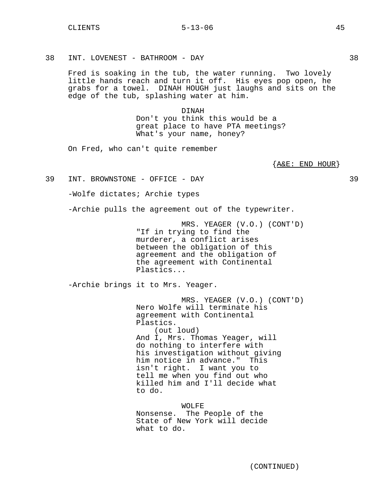38 INT. LOVENEST - BATHROOM - DAY 38

Fred is soaking in the tub, the water running. Two lovely little hands reach and turn it off. His eyes pop open, he grabs for a towel. DINAH HOUGH just laughs and sits on the edge of the tub, splashing water at him.

> DINAH Don't you think this would be a great place to have PTA meetings? What's your name, honey?

On Fred, who can't quite remember

{A&E: END HOUR}

39 INT. BROWNSTONE - OFFICE - DAY 39

-Wolfe dictates; Archie types

-Archie pulls the agreement out of the typewriter.

MRS. YEAGER (V.O.) (CONT'D) "If in trying to find the murderer, a conflict arises between the obligation of this agreement and the obligation of the agreement with Continental Plastics...

-Archie brings it to Mrs. Yeager.

MRS. YEAGER (V.O.) (CONT'D) Nero Wolfe will terminate his agreement with Continental Plastics. (out loud) And I, Mrs. Thomas Yeager, will do nothing to interfere with his investigation without giving him notice in advance." This isn't right. I want you to tell me when you find out who killed him and I'll decide what to do.

WOLFE Nonsense. The People of the State of New York will decide what to do.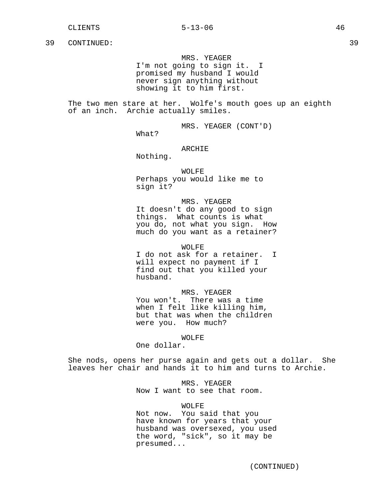MRS. YEAGER

I'm not going to sign it. I promised my husband I would never sign anything without showing it to him first.

The two men stare at her. Wolfe's mouth goes up an eighth of an inch. Archie actually smiles.

MRS. YEAGER (CONT'D)

What?

## ARCHIE

Nothing.

# WOLFE

Perhaps you would like me to sign it?

MRS. YEAGER It doesn't do any good to sign things. What counts is what you do, not what you sign. How much do you want as a retainer?

WOLFE

I do not ask for a retainer. I will expect no payment if I find out that you killed your husband.

# MRS. YEAGER

You won't. There was a time when I felt like killing him, but that was when the children were you. How much?

#### WOLFE

One dollar.

She nods, opens her purse again and gets out a dollar. She leaves her chair and hands it to him and turns to Archie.

## MRS. YEAGER

Now I want to see that room.

## WOLFE

Not now. You said that you have known for years that your husband was oversexed, you used the word, "sick", so it may be presumed...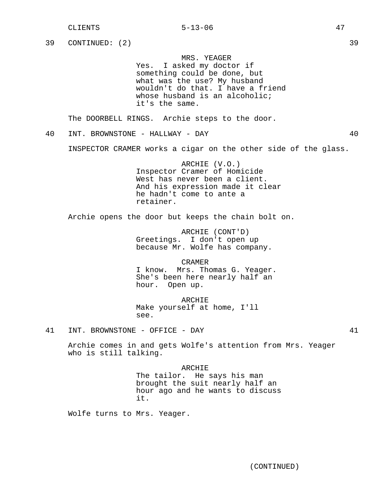39 CONTINUED: (2) 39

MRS. YEAGER

Yes. I asked my doctor if something could be done, but what was the use? My husband wouldn't do that. I have a friend whose husband is an alcoholic; it's the same.

The DOORBELL RINGS. Archie steps to the door.

40 INT. BROWNSTONE - HALLWAY - DAY 40

INSPECTOR CRAMER works a cigar on the other side of the glass.

ARCHIE (V.O.) Inspector Cramer of Homicide West has never been a client. And his expression made it clear he hadn't come to ante a retainer.

Archie opens the door but keeps the chain bolt on.

ARCHIE (CONT'D) Greetings. I don't open up because Mr. Wolfe has company.

CRAMER I know. Mrs. Thomas G. Yeager. She's been here nearly half an hour. Open up.

ARCHIE Make yourself at home, I'll see.

41 INT. BROWNSTONE - OFFICE - DAY 41

Archie comes in and gets Wolfe's attention from Mrs. Yeager who is still talking.

> ARCHIE The tailor. He says his man brought the suit nearly half an hour ago and he wants to discuss it.

Wolfe turns to Mrs. Yeager.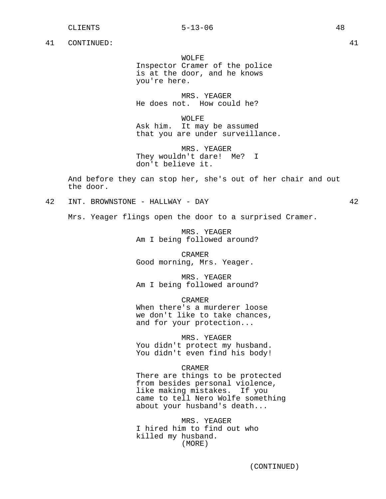WOLFE Inspector Cramer of the police is at the door, and he knows you're here.

MRS. YEAGER He does not. How could he?

WOLFE Ask him. It may be assumed that you are under surveillance.

MRS. YEAGER They wouldn't dare! Me? I don't believe it.

And before they can stop her, she's out of her chair and out the door.

42 INT. BROWNSTONE - HALLWAY - DAY 42

Mrs. Yeager flings open the door to a surprised Cramer.

MRS. YEAGER Am I being followed around?

CRAMER Good morning, Mrs. Yeager.

MRS. YEAGER Am I being followed around?

CRAMER

When there's a murderer loose we don't like to take chances, and for your protection...

MRS. YEAGER You didn't protect my husband. You didn't even find his body!

CRAMER

There are things to be protected from besides personal violence, like making mistakes. If you came to tell Nero Wolfe something about your husband's death...

MRS. YEAGER I hired him to find out who killed my husband. (MORE)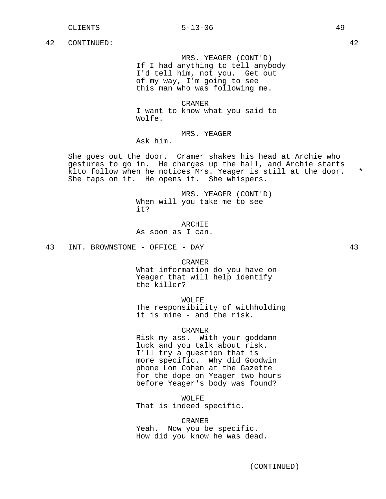MRS. YEAGER (CONT'D) If I had anything to tell anybody I'd tell him, not you. Get out of my way, I'm going to see this man who was following me.

CRAMER I want to know what you said to Wolfe.

# MRS. YEAGER

Ask him.

She goes out the door. Cramer shakes his head at Archie who gestures to go in. He charges up the hall, and Archie starts klto follow when he notices Mrs. Yeager is still at the door. \* She taps on it. He opens it. She whispers.

> MRS. YEAGER (CONT'D) When will you take me to see it?

ARCHIE As soon as I can.

43 INT. BROWNSTONE - OFFICE - DAY 43

CRAMER

What information do you have on Yeager that will help identify the killer?

WOLFE

The responsibility of withholding it is mine - and the risk.

CRAMER

Risk my ass. With your goddamn luck and you talk about risk. I'll try a question that is more specific. Why did Goodwin phone Lon Cohen at the Gazette for the dope on Yeager two hours before Yeager's body was found?

WOLFE That is indeed specific.

CRAMER Yeah. Now you be specific. How did you know he was dead.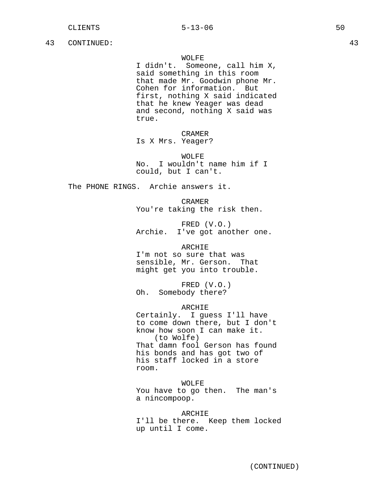## WOLFE

I didn't. Someone, call him X, said something in this room that made Mr. Goodwin phone Mr. Cohen for information. But first, nothing X said indicated that he knew Yeager was dead and second, nothing X said was true.

CRAMER Is X Mrs. Yeager?

WOLFE No. I wouldn't name him if I could, but I can't.

The PHONE RINGS. Archie answers it.

CRAMER You're taking the risk then.

FRED (V.O.) Archie. I've got another one.

ARCHIE

I'm not so sure that was sensible, Mr. Gerson. That might get you into trouble.

FRED (V.O.) Oh. Somebody there?

## ARCHIE

Certainly. I guess I'll have to come down there, but I don't know how soon I can make it. (to Wolfe) That damn fool Gerson has found his bonds and has got two of his staff locked in a store room.

WOLFE You have to go then. The man's a nincompoop.

ARCHIE I'll be there. Keep them locked up until I come.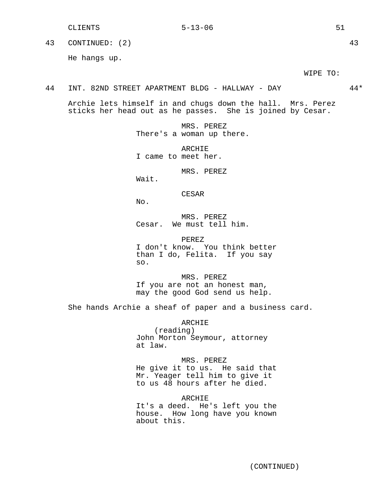43 CONTINUED: (2) 43

He hangs up.

WIPE TO:

#### 44 INT. 82ND STREET APARTMENT BLDG - HALLWAY - DAY 44\*

Archie lets himself in and chugs down the hall. Mrs. Perez sticks her head out as he passes. She is joined by Cesar.

> MRS. PEREZ There's a woman up there.

ARCHIE I came to meet her.

MRS. PEREZ

Wait.

CESAR

No.

MRS. PEREZ Cesar. We must tell him.

PEREZ I don't know. You think better than I do, Felita. If you say so.

MRS. PEREZ If you are not an honest man, may the good God send us help.

She hands Archie a sheaf of paper and a business card.

ARCHIE (reading) John Morton Seymour, attorney at law.

MRS. PEREZ He give it to us. He said that Mr. Yeager tell him to give it to us 48 hours after he died.

ARCHIE It's a deed. He's left you the house. How long have you known about this.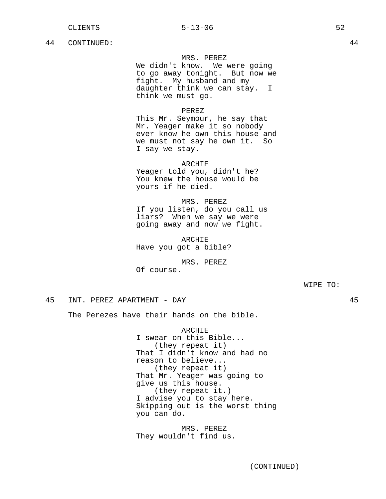## MRS. PEREZ

We didn't know. We were going to go away tonight. But now we fight. My husband and my daughter think we can stay. I think we must go.

## PEREZ

This Mr. Seymour, he say that Mr. Yeager make it so nobody ever know he own this house and we must not say he own it. So I say we stay.

#### ARCHIE

Yeager told you, didn't he? You knew the house would be yours if he died.

MRS. PEREZ If you listen, do you call us liars? When we say we were going away and now we fight.

ARCHIE Have you got a bible?

MRS. PEREZ Of course.

WIPE TO:

## 45 INT. PEREZ APARTMENT - DAY 45

The Perezes have their hands on the bible.

ARCHIE I swear on this Bible... (they repeat it) That I didn't know and had no reason to believe... (they repeat it) That Mr. Yeager was going to give us this house. (they repeat it.) I advise you to stay here. Skipping out is the worst thing you can do.

MRS. PEREZ They wouldn't find us.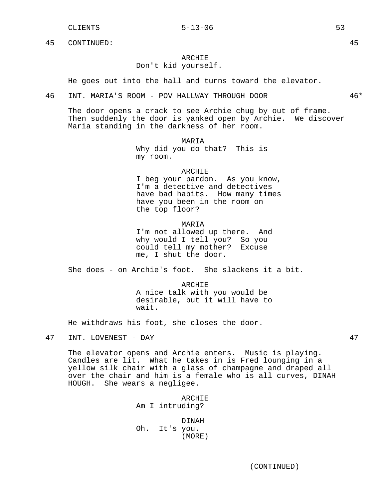# ARCHIE

Don't kid yourself.

He goes out into the hall and turns toward the elevator.

#### 46 INT. MARIA'S ROOM - POV HALLWAY THROUGH DOOR 46\*

The door opens a crack to see Archie chug by out of frame. Then suddenly the door is yanked open by Archie. We discover Maria standing in the darkness of her room.

MARIA

Why did you do that? This is my room.

## ARCHIE

I beg your pardon. As you know, I'm a detective and detectives have bad habits. How many times have you been in the room on the top floor?

## MARIA

I'm not allowed up there. And why would I tell you? So you could tell my mother? Excuse me, I shut the door.

She does - on Archie's foot. She slackens it a bit.

ARCHIE A nice talk with you would be desirable, but it will have to wait.

He withdraws his foot, she closes the door.

The elevator opens and Archie enters. Music is playing. Candles are lit. What he takes in is Fred lounging in a yellow silk chair with a glass of champagne and draped all over the chair and him is a female who is all curves, DINAH HOUGH. She wears a negligee.

> ARCHIE Am I intruding?

DINAH Oh. It's you. (MORE)

<sup>47</sup> INT. LOVENEST - DAY 47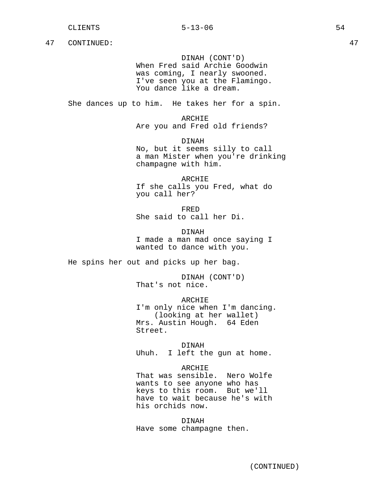DINAH (CONT'D) When Fred said Archie Goodwin was coming, I nearly swooned. I've seen you at the Flamingo. You dance like a dream.

She dances up to him. He takes her for a spin.

ARCHIE Are you and Fred old friends?

DINAH No, but it seems silly to call a man Mister when you're drinking champagne with him.

ARCHIE If she calls you Fred, what do you call her?

FRED She said to call her Di.

DINAH I made a man mad once saying I wanted to dance with you.

He spins her out and picks up her bag.

DINAH (CONT'D) That's not nice.

ARCHIE I'm only nice when I'm dancing. (looking at her wallet) Mrs. Austin Hough. 64 Eden Street.

DINAH Uhuh. I left the gun at home.

ARCHIE That was sensible. Nero Wolfe wants to see anyone who has keys to this room. But we'll have to wait because he's with his orchids now.

DINAH Have some champagne then.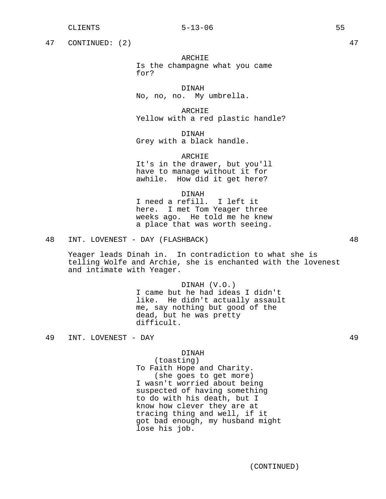47 CONTINUED: (2) 47

## ARCHIE

Is the champagne what you came for?

DINAH No, no, no. My umbrella.

ARCHIE Yellow with a red plastic handle?

DINAH Grey with a black handle.

ARCHIE It's in the drawer, but you'll have to manage without it for awhile. How did it get here?

DINAH

I need a refill. I left it here. I met Tom Yeager three weeks ago. He told me he knew a place that was worth seeing.

48 INT. LOVENEST - DAY (FLASHBACK) 48

Yeager leads Dinah in. In contradiction to what she is telling Wolfe and Archie, she is enchanted with the lovenest and intimate with Yeager.

> DINAH (V.O.) I came but he had ideas I didn't like. He didn't actually assault me, say nothing but good of the dead, but he was pretty difficult.

49 INT. LOVENEST - DAY 49

#### DINAH

(toasting) To Faith Hope and Charity. (she goes to get more) I wasn't worried about being suspected of having something to do with his death, but I know how clever they are at tracing thing and well, if it got bad enough, my husband might lose his job.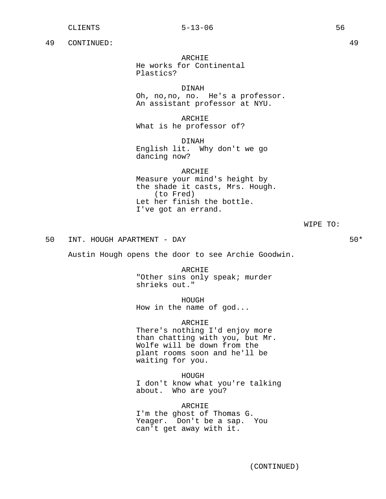ARCHIE He works for Continental Plastics?

DINAH Oh, no,no, no. He's a professor. An assistant professor at NYU.

ARCHIE What is he professor of?

DINAH English lit. Why don't we go dancing now?

## ARCHIE

Measure your mind's height by the shade it casts, Mrs. Hough. (to Fred) Let her finish the bottle. I've got an errand.

WIPE TO:

50 INT. HOUGH APARTMENT - DAY **50\*** 50\*

Austin Hough opens the door to see Archie Goodwin.

ARCHIE "Other sins only speak; murder shrieks out."

HOUGH How in the name of god...

ARCHIE

There's nothing I'd enjoy more than chatting with you, but Mr. Wolfe will be down from the plant rooms soon and he'll be waiting for you.

HOUGH I don't know what you're talking about. Who are you?

ARCHIE I'm the ghost of Thomas G. Yeager. Don't be a sap. You can't get away with it.

(CONTINUED)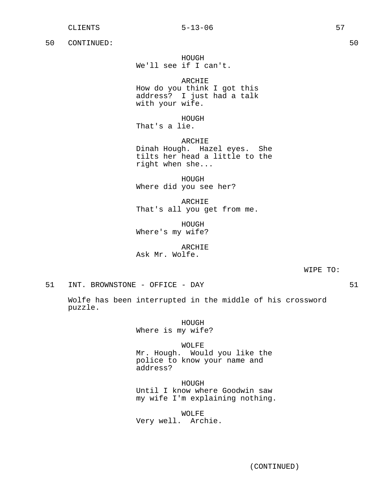HOUGH We'll see if I can't.

ARCHIE How do you think I got this address? I just had a talk with your wife.

HOUGH That's a lie.

ARCHIE Dinah Hough. Hazel eyes. She tilts her head a little to the right when she...

HOUGH Where did you see her?

ARCHIE That's all you get from me.

HOUGH Where's my wife?

ARCHIE Ask Mr. Wolfe.

WIPE TO:

51 INT. BROWNSTONE - OFFICE - DAY 61

Wolfe has been interrupted in the middle of his crossword puzzle.

> HOUGH Where is my wife?

> > WOLFE

Mr. Hough. Would you like the police to know your name and address?

HOUGH Until I know where Goodwin saw my wife I'm explaining nothing.

WOLFE Very well. Archie.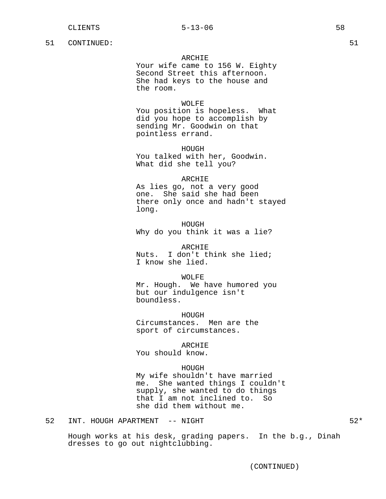## ARCHIE

Your wife came to 156 W. Eighty Second Street this afternoon. She had keys to the house and the room.

# WOLFE

You position is hopeless. What did you hope to accomplish by sending Mr. Goodwin on that pointless errand.

HOUGH You talked with her, Goodwin. What did she tell you?

## ARCHIE

As lies go, not a very good one. She said she had been there only once and hadn't stayed long.

HOUGH Why do you think it was a lie?

ARCHIE Nuts. I don't think she lied; I know she lied.

WOLFE Mr. Hough. We have humored you but our indulgence isn't boundless.

HOUGH Circumstances. Men are the sport of circumstances.

ARCHIE

You should know.

## HOUGH

My wife shouldn't have married me. She wanted things I couldn't supply, she wanted to do things that I am not inclined to. So she did them without me.

52 INT. HOUGH APARTMENT -- NIGHT 52\*

Hough works at his desk, grading papers. In the b.g., Dinah dresses to go out nightclubbing.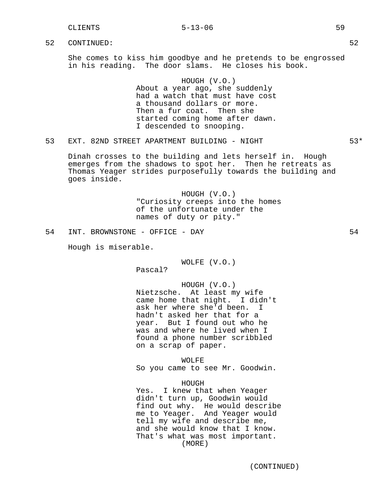# CLIENTS 5-13-06 59

52 CONTINUED: 52

She comes to kiss him goodbye and he pretends to be engrossed in his reading. The door slams. He closes his book.

> HOUGH (V.O.) About a year ago, she suddenly had a watch that must have cost a thousand dollars or more. Then a fur coat. Then she started coming home after dawn. I descended to snooping.

## 53 EXT. 82ND STREET APARTMENT BUILDING - NIGHT **1988** 53\*

Dinah crosses to the building and lets herself in. Hough emerges from the shadows to spot her. Then he retreats as Thomas Yeager strides purposefully towards the building and goes inside.

> HOUGH (V.O.) "Curiosity creeps into the homes of the unfortunate under the names of duty or pity."

Hough is miserable.

WOLFE (V.O.)

Pascal?

HOUGH (V.O.) Nietzsche. At least my wife came home that night. I didn't ask her where she'd been. I hadn't asked her that for a year. But I found out who he was and where he lived when I found a phone number scribbled on a scrap of paper.

WOLFE

So you came to see Mr. Goodwin.

HOUGH

Yes. I knew that when Yeager didn't turn up, Goodwin would find out why. He would describe me to Yeager. And Yeager would tell my wife and describe me, and she would know that I know. That's what was most important. (MORE)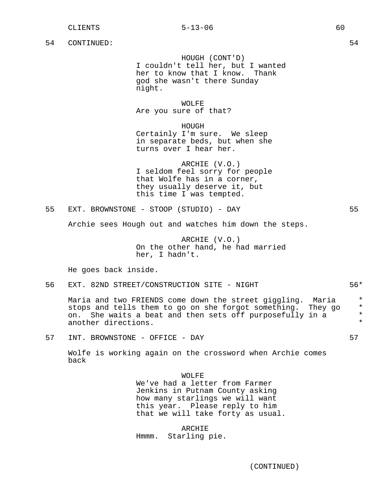HOUGH (CONT'D) I couldn't tell her, but I wanted her to know that I know. Thank god she wasn't there Sunday night.

WOLFE Are you sure of that?

HOUGH

Certainly I'm sure. We sleep in separate beds, but when she turns over I hear her.

ARCHIE (V.O.) I seldom feel sorry for people that Wolfe has in a corner, they usually deserve it, but this time I was tempted.

55 EXT. BROWNSTONE - STOOP (STUDIO) - DAY 55

Archie sees Hough out and watches him down the steps.

ARCHIE (V.O.) On the other hand, he had married her, I hadn't.

He goes back inside.

56 EXT. 82ND STREET/CONSTRUCTION SITE - NIGHT  $56*$ 

Maria and two FRIENDS come down the street giggling. Maria \* stops and tells them to go on she forgot something. They go  $*$ <br>on she waits a beat and then sets off purposefully in a on. She waits a beat and then sets off purposefully in a  $*$ another directions.

57 INT. BROWNSTONE - OFFICE - DAY 57

Wolfe is working again on the crossword when Archie comes back

#### WOLFE

We've had a letter from Farmer Jenkins in Putnam County asking how many starlings we will want this year. Please reply to him that we will take forty as usual.

ARCHIE Hmmm. Starling pie.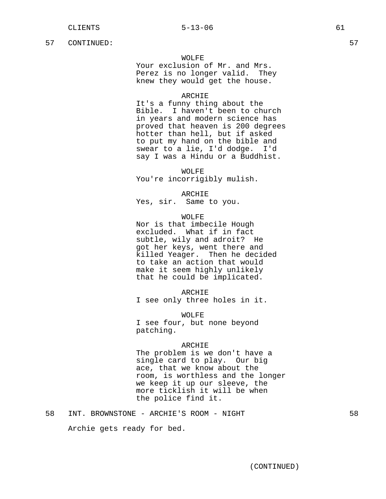## WOLFE

Your exclusion of Mr. and Mrs. Perez is no longer valid. They knew they would get the house.

## ARCHIE

It's a funny thing about the Bible. I haven't been to church in years and modern science has proved that heaven is 200 degrees hotter than hell, but if asked to put my hand on the bible and swear to a lie, I'd dodge. I'd say I was a Hindu or a Buddhist.

WOLFE

You're incorrigibly mulish.

ARCHIE

Yes, sir. Same to you.

WOLFE

Nor is that imbecile Hough excluded. What if in fact subtle, wily and adroit? He got her keys, went there and killed Yeager. Then he decided to take an action that would make it seem highly unlikely that he could be implicated.

ARCHIE

I see only three holes in it.

WOLFE I see four, but none beyond patching.

#### ARCHIE

The problem is we don't have a single card to play. Our big ace, that we know about the room, is worthless and the longer we keep it up our sleeve, the more ticklish it will be when the police find it.

Archie gets ready for bed.

(CONTINUED)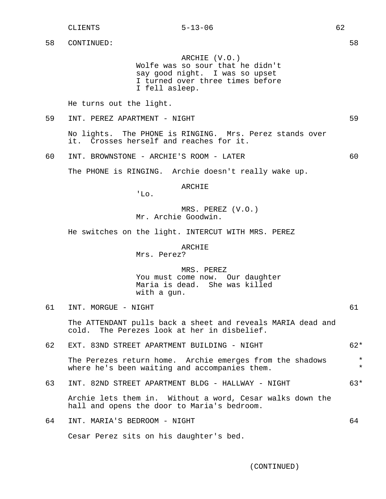ARCHIE (V.O.) Wolfe was so sour that he didn't say good night. I was so upset I turned over three times before I fell asleep.

He turns out the light.

59 INT. PEREZ APARTMENT - NIGHT 59

No lights. The PHONE is RINGING. Mrs. Perez stands over it. Crosses herself and reaches for it.

60 INT. BROWNSTONE - ARCHIE'S ROOM - LATER 60

The PHONE is RINGING. Archie doesn't really wake up.

ARCHIE

MRS. PEREZ (V.O.) Mr. Archie Goodwin.

He switches on the light. INTERCUT WITH MRS. PEREZ

ARCHIE

Mrs. Perez?

'Lo.

MRS. PEREZ You must come now. Our daughter Maria is dead. She was killed with a gun.

61 INT. MORGUE - NIGHT 61

The ATTENDANT pulls back a sheet and reveals MARIA dead and cold. The Perezes look at her in disbelief.

- 62 EXT. 83ND STREET APARTMENT BUILDING NIGHT 62\* The Perezes return home. Archie emerges from the shadows \* where he's been waiting and accompanies them.  $*$
- 63 INT. 82ND STREET APARTMENT BLDG HALLWAY NIGHT 63\*

Archie lets them in. Without a word, Cesar walks down the hall and opens the door to Maria's bedroom.

64 INT. MARIA'S BEDROOM - NIGHT 64 Cesar Perez sits on his daughter's bed.

(CONTINUED)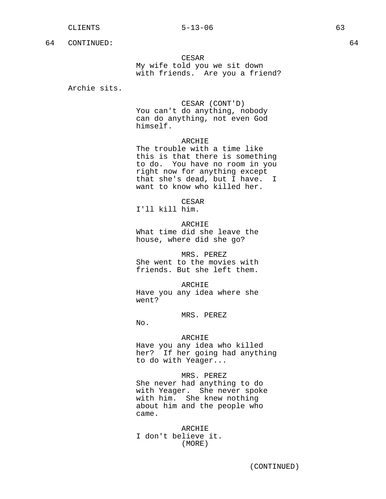CESAR

My wife told you we sit down with friends. Are you a friend?

Archie sits.

CESAR (CONT'D) You can't do anything, nobody can do anything, not even God himself.

## ARCHIE

The trouble with a time like this is that there is something to do. You have no room in you right now for anything except that she's dead, but I have. I want to know who killed her.

CESAR

I'll kill him.

ARCHIE What time did she leave the house, where did she go?

MRS. PEREZ She went to the movies with friends. But she left them.

ARCHIE Have you any idea where she went?

MRS. PEREZ

No.

## ARCHIE

Have you any idea who killed her? If her going had anything to do with Yeager...

MRS. PEREZ

She never had anything to do with Yeager. She never spoke with him. She knew nothing about him and the people who came.

ARCHIE I don't believe it. (MORE)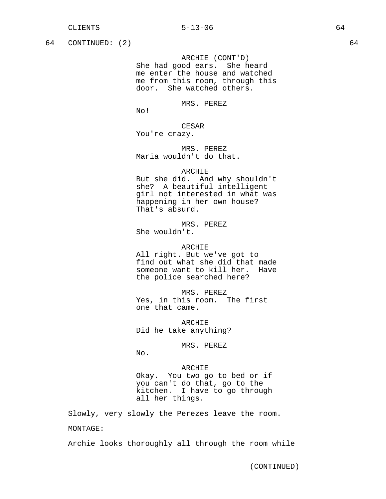# 64 CONTINUED: (2) 64

ARCHIE (CONT'D) She had good ears. She heard me enter the house and watched me from this room, through this door. She watched others.

MRS. PEREZ

No!

CESAR You're crazy.

MRS. PEREZ Maria wouldn't do that.

## ARCHIE

But she did. And why shouldn't she? A beautiful intelligent girl not interested in what was happening in her own house? That's absurd.

MRS. PEREZ She wouldn't.

ARCHIE All right. But we've got to find out what she did that made someone want to kill her. Have the police searched here?

MRS. PEREZ Yes, in this room. The first one that came.

ARCHIE Did he take anything?

MRS. PEREZ

No.

ARCHIE Okay. You two go to bed or if you can't do that, go to the kitchen. I have to go through all her things.

Slowly, very slowly the Perezes leave the room.

MONTAGE:

Archie looks thoroughly all through the room while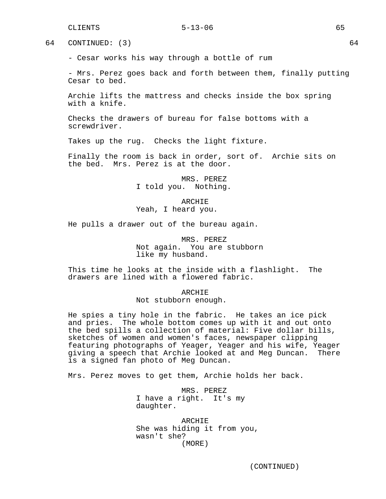64 CONTINUED: (3) 64

- Cesar works his way through a bottle of rum

- Mrs. Perez goes back and forth between them, finally putting Cesar to bed.

Archie lifts the mattress and checks inside the box spring with a knife.

Checks the drawers of bureau for false bottoms with a screwdriver.

Takes up the rug. Checks the light fixture.

Finally the room is back in order, sort of. Archie sits on the bed. Mrs. Perez is at the door.

> MRS. PEREZ I told you. Nothing.

ARCHIE Yeah, I heard you.

He pulls a drawer out of the bureau again.

MRS. PEREZ Not again. You are stubborn like my husband.

This time he looks at the inside with a flashlight. The drawers are lined with a flowered fabric.

#### ARCHIE

Not stubborn enough.

He spies a tiny hole in the fabric. He takes an ice pick and pries. The whole bottom comes up with it and out onto the bed spills a collection of material: Five dollar bills, sketches of women and women's faces, newspaper clipping featuring photographs of Yeager, Yeager and his wife, Yeager giving a speech that Archie looked at and Meg Duncan. There is a signed fan photo of Meg Duncan.

Mrs. Perez moves to get them, Archie holds her back.

MRS. PEREZ I have a right. It's my daughter.

ARCHIE She was hiding it from you, wasn't she? (MORE)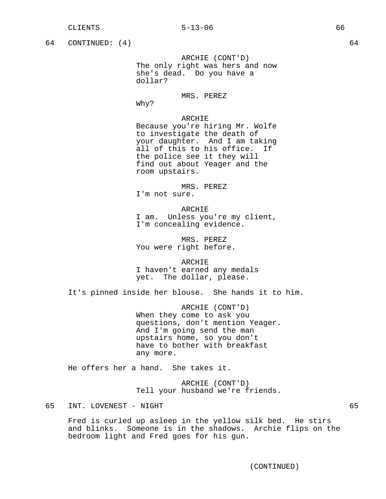| 64 | CONTINUED: $(4)$                                    |                                                                                                                                                                                                                               | 64 |
|----|-----------------------------------------------------|-------------------------------------------------------------------------------------------------------------------------------------------------------------------------------------------------------------------------------|----|
|    |                                                     | ARCHIE (CONT'D)<br>The only right was hers and now<br>she's dead. Do you have a<br>dollar?                                                                                                                                    |    |
|    |                                                     | MRS. PEREZ<br>Why?                                                                                                                                                                                                            |    |
|    |                                                     | ARCHIE<br>Because you're hiring Mr. Wolfe<br>to investigate the death of<br>your daughter. And I am taking<br>all of this to his office. If<br>the police see it they will<br>find out about Yeager and the<br>room upstairs. |    |
|    |                                                     | MRS. PEREZ<br>I'm not sure.                                                                                                                                                                                                   |    |
|    |                                                     | ARCHIE<br>I am. Unless you're my client,<br>I'm concealing evidence.                                                                                                                                                          |    |
|    |                                                     | MRS. PEREZ<br>You were right before.                                                                                                                                                                                          |    |
|    |                                                     | ARCHIE<br>I haven't earned any medals<br>yet. The dollar, please.                                                                                                                                                             |    |
|    | It's pinned inside her blouse. She hands it to him. |                                                                                                                                                                                                                               |    |
|    |                                                     | ARCHIE (CONT'D)<br>When they come to ask you<br>questions, don't mention Yeager.<br>And I'm going send the man<br>upstairs home, so you don't<br>have to bother with breakfast<br>any more.                                   |    |
|    |                                                     | He offers her a hand. She takes it.                                                                                                                                                                                           |    |
|    |                                                     | ARCHIE (CONT'D)<br>Tell your husband we're friends.                                                                                                                                                                           |    |
| 65 | INT. LOVENEST - NIGHT                               |                                                                                                                                                                                                                               | 65 |

Fred is curled up asleep in the yellow silk bed. He stirs and blinks. Someone is in the shadows. Archie flips on the bedroom light and Fred goes for his gun.

(CONTINUED)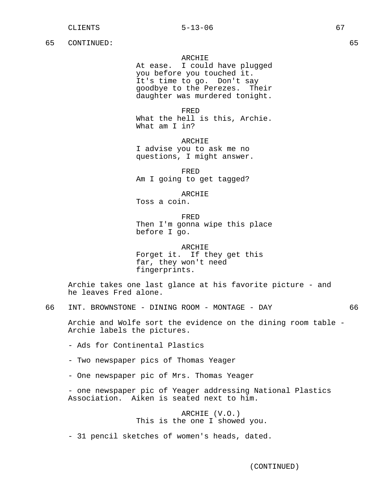## ARCHIE

At ease. I could have plugged you before you touched it. It's time to go. Don't say goodbye to the Perezes. Their daughter was murdered tonight.

FRED What the hell is this, Archie. What am I in?

ARCHIE I advise you to ask me no questions, I might answer.

FRED Am I going to get tagged?

ARCHIE

Toss a coin.

FRED Then I'm gonna wipe this place before I go.

ARCHIE Forget it. If they get this far, they won't need fingerprints.

Archie takes one last glance at his favorite picture - and he leaves Fred alone.

66 INT. BROWNSTONE - DINING ROOM - MONTAGE - DAY 66

Archie and Wolfe sort the evidence on the dining room table - Archie labels the pictures.

- Ads for Continental Plastics
- Two newspaper pics of Thomas Yeager
- One newspaper pic of Mrs. Thomas Yeager

- one newspaper pic of Yeager addressing National Plastics Association. Aiken is seated next to him.

> ARCHIE (V.O.) This is the one I showed you.

- 31 pencil sketches of women's heads, dated.

(CONTINUED)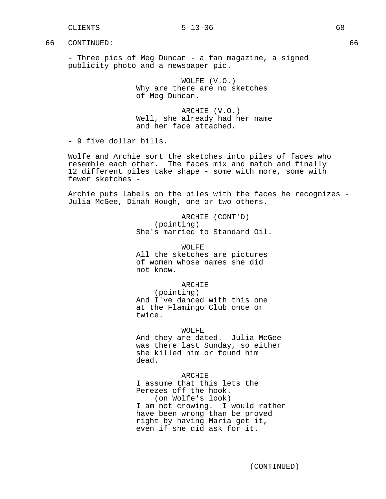- Three pics of Meg Duncan - a fan magazine, a signed publicity photo and a newspaper pic.

> WOLFE (V.O.) Why are there are no sketches of Meg Duncan.

ARCHIE (V.O.) Well, she already had her name and her face attached.

- 9 five dollar bills.

Wolfe and Archie sort the sketches into piles of faces who resemble each other. The faces mix and match and finally 12 different piles take shape - some with more, some with fewer sketches -

Archie puts labels on the piles with the faces he recognizes - Julia McGee, Dinah Hough, one or two others.

> ARCHIE (CONT'D) (pointing) She's married to Standard Oil.

WOLFE All the sketches are pictures of women whose names she did not know.

ARCHIE

(pointing) And I've danced with this one at the Flamingo Club once or twice.

WOLFE

And they are dated. Julia McGee was there last Sunday, so either she killed him or found him dead.

## ARCHIE

I assume that this lets the Perezes off the hook. (on Wolfe's look) I am not crowing. I would rather have been wrong than be proved right by having Maria get it, even if she did ask for it.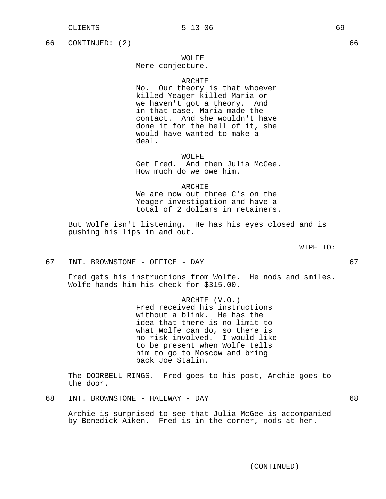66 CONTINUED: (2) 66

## WOLFE

Mere conjecture.

#### ARCHIE

No. Our theory is that whoever killed Yeager killed Maria or we haven't got a theory. And in that case, Maria made the contact. And she wouldn't have done it for the hell of it, she would have wanted to make a deal.

WOLFE

Get Fred. And then Julia McGee. How much do we owe him.

#### ARCHIE

We are now out three C's on the Yeager investigation and have a total of 2 dollars in retainers.

But Wolfe isn't listening. He has his eyes closed and is pushing his lips in and out.

WIPE TO:

67 INT. BROWNSTONE - OFFICE - DAY 67

Fred gets his instructions from Wolfe. He nods and smiles. Wolfe hands him his check for \$315.00.

> ARCHIE (V.O.) Fred received his instructions without a blink. He has the idea that there is no limit to what Wolfe can do, so there is no risk involved. I would like to be present when Wolfe tells him to go to Moscow and bring back Joe Stalin.

The DOORBELL RINGS. Fred goes to his post, Archie goes to the door.

68 INT. BROWNSTONE - HALLWAY - DAY 68

Archie is surprised to see that Julia McGee is accompanied by Benedick Aiken. Fred is in the corner, nods at her.

(CONTINUED)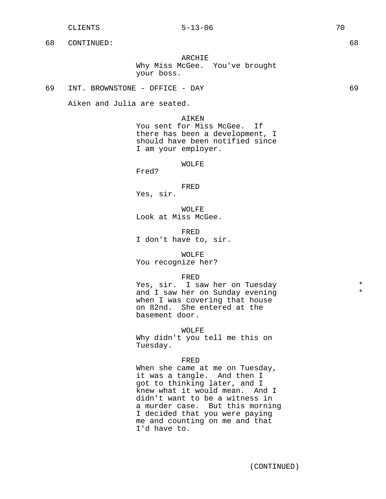ARCHIE Why Miss McGee. You've brought your boss.

## 69 INT. BROWNSTONE - OFFICE - DAY 69

Aiken and Julia are seated.

## AIKEN

You sent for Miss McGee. If there has been a development, I should have been notified since I am your employer.

#### WOLFE

Fred?

FRED Yes, sir.

WOLFE Look at Miss McGee.

FRED I don't have to, sir.

#### WOLFF.

You recognize her?

## FRED

Yes, sir. I saw her on Tuesday  $*$ and I saw her on Sunday evening when I was covering that house on 82nd. She entered at the basement door.

WOLFE

Why didn't you tell me this on Tuesday.

## FRED

When she came at me on Tuesday, it was a tangle. And then I got to thinking later, and I knew what it would mean. And I didn't want to be a witness in a murder case. But this morning I decided that you were paying me and counting on me and that I'd have to.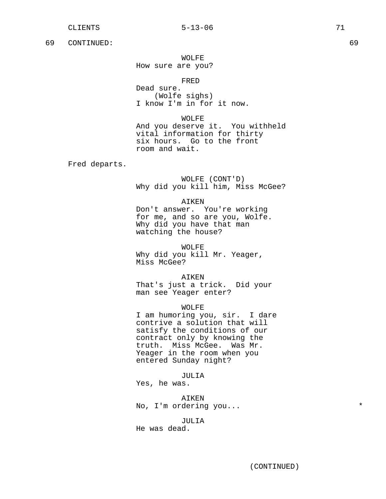WOLFE How sure are you?

FRED

Dead sure. (Wolfe sighs) I know I'm in for it now.

WOLFE And you deserve it. You withheld vital information for thirty six hours. Go to the front room and wait.

Fred departs.

WOLFE (CONT'D) Why did you kill him, Miss McGee?

# AIKEN

Don't answer. You're working for me, and so are you, Wolfe. Why did you have that man watching the house?

WOLFE Why did you kill Mr. Yeager, Miss McGee?

AIKEN That's just a trick. Did your man see Yeager enter?

WOLFE

I am humoring you, sir. I dare contrive a solution that will satisfy the conditions of our contract only by knowing the truth. Miss McGee. Was Mr. Yeager in the room when you entered Sunday night?

JULIA

Yes, he was.

AIKEN No, I'm ordering you...  $*$ 

JULIA

He was dead.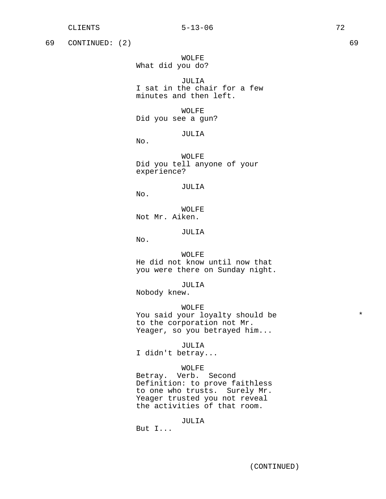69 CONTINUED: (2) 69

WOLFE What did you do?

JULIA I sat in the chair for a few minutes and then left.

WOLFE Did you see a gun?

JULIA

WOLFE Did you tell anyone of your experience?

JULIA

No.

No.

WOLFE Not Mr. Aiken.

# JULIA

No.

### WOLFE.

He did not know until now that you were there on Sunday night.

JULIA

Nobody knew.

## WOLFE

You said your loyalty should be  $*$ to the corporation not Mr. Yeager, so you betrayed him...

JULIA

I didn't betray...

## WOLFE

Betray. Verb. Second Definition: to prove faithless to one who trusts. Surely Mr. Yeager trusted you not reveal the activities of that room.

### JULIA

But I...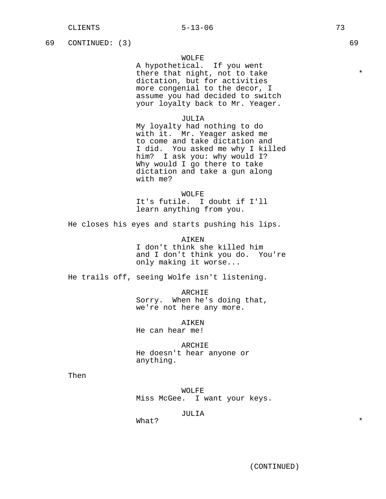69 CONTINUED: (3) 69

# WOLFE

A hypothetical. If you went there that night, not to take  $*$ dictation, but for activities more congenial to the decor, I assume you had decided to switch your loyalty back to Mr. Yeager.

## JULIA

My loyalty had nothing to do with it. Mr. Yeager asked me to come and take dictation and I did. You asked me why I killed him? I ask you: why would I? Why would I go there to take dictation and take a gun along with me?

### WOLFE

It's futile. I doubt if I'll learn anything from you.

He closes his eyes and starts pushing his lips.

AIKEN I don't think she killed him and I don't think you do. You're only making it worse...

He trails off, seeing Wolfe isn't listening.

ARCHIE Sorry. When he's doing that, we're not here any more.

AIKEN He can hear me!

ARCHIE He doesn't hear anyone or anything.

Then

WOLFE Miss McGee. I want your keys.

### JULIA

What?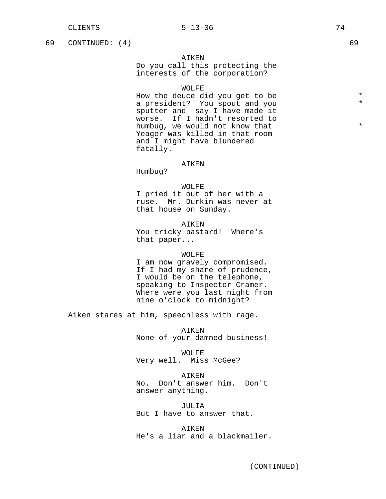69 CONTINUED: (4) 69

## AIKEN

Do you call this protecting the interests of the corporation?

# WOLFF.

How the deuce did you get to be  $*$ a president? You spout and you sputter and say I have made it worse. If I hadn't resorted to humbug, we would not know that  $*$ Yeager was killed in that room and I might have blundered fatally.

### AIKEN

Humbug?

# WOLFE

I pried it out of her with a ruse. Mr. Durkin was never at that house on Sunday.

# AIKEN

You tricky bastard! Where's that paper...

### WOLFE

I am now gravely compromised. If I had my share of prudence, I would be on the telephone, speaking to Inspector Cramer. Where were you last night from nine o'clock to midnight?

Aiken stares at him, speechless with rage.

AIKEN None of your damned business!

WOLFE Very well. Miss McGee?

AIKEN No. Don't answer him. Don't answer anything.

JULIA But I have to answer that.

AIKEN He's a liar and a blackmailer.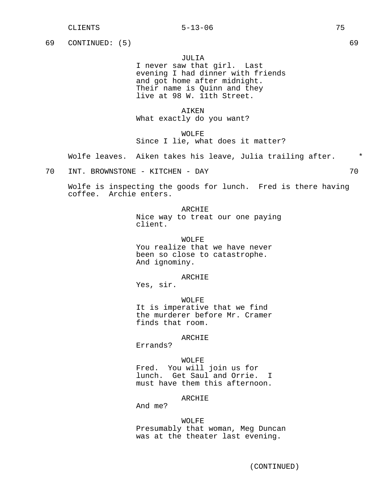## CLIENTS 5-13-06 75

69 CONTINUED: (5) 69

# JULIA

I never saw that girl. Last evening I had dinner with friends and got home after midnight. Their name is Quinn and they live at 98 W. 11th Street.

AIKEN What exactly do you want?

WOLFE Since I lie, what does it matter?

Wolfe leaves. Aiken takes his leave, Julia trailing after.  $*$ 

70 INT. BROWNSTONE - KITCHEN - DAY 70

Wolfe is inspecting the goods for lunch. Fred is there having coffee. Archie enters.

> ARCHIE Nice way to treat our one paying client.

WOLFE You realize that we have never been so close to catastrophe. And ignominy.

ARCHIE

Yes, sir.

WOLFE It is imperative that we find the murderer before Mr. Cramer finds that room.

# ARCHIE

Errands?

WOLFE Fred. You will join us for lunch. Get Saul and Orrie. I must have them this afternoon.

## ARCHIE

And me?

## WOLFE

Presumably that woman, Meg Duncan was at the theater last evening.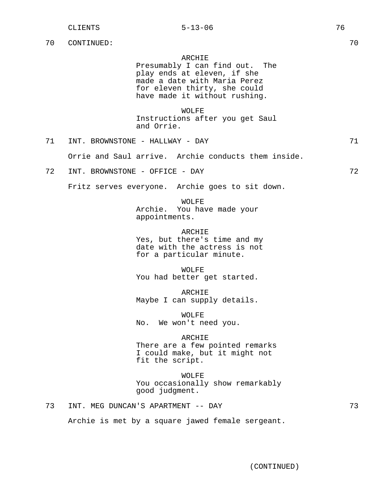## ARCHIE

Presumably I can find out. The play ends at eleven, if she made a date with Maria Perez for eleven thirty, she could have made it without rushing.

WOLFE Instructions after you get Saul and Orrie.

71 INT. BROWNSTONE - HALLWAY - DAY 71

Orrie and Saul arrive. Archie conducts them inside.

72 INT. BROWNSTONE - OFFICE - DAY 72

Fritz serves everyone. Archie goes to sit down.

WOLFE Archie. You have made your appointments.

ARCHIE Yes, but there's time and my date with the actress is not for a particular minute.

WOLFE You had better get started.

ARCHIE Maybe I can supply details.

WOLFE No. We won't need you.

### **ARCHIE**

There are a few pointed remarks I could make, but it might not fit the script.

WOLFE You occasionally show remarkably good judgment.

73 INT. MEG DUNCAN'S APARTMENT -- DAY 73

Archie is met by a square jawed female sergeant.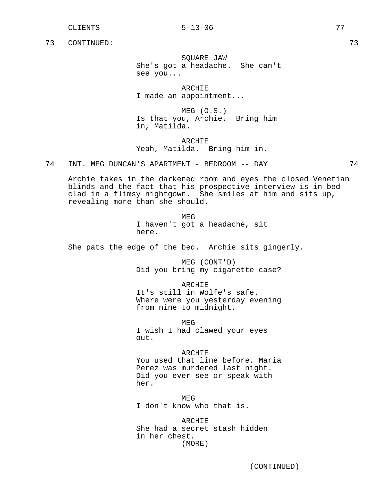SQUARE JAW She's got a headache. She can't see you...

ARCHIE I made an appointment...

MEG (O.S.) Is that you, Archie. Bring him in, Matilda.

ARCHIE Yeah, Matilda. Bring him in.

74 INT. MEG DUNCAN'S APARTMENT - BEDROOM -- DAY 74

Archie takes in the darkened room and eyes the closed Venetian blinds and the fact that his prospective interview is in bed clad in a flimsy nightgown. She smiles at him and sits up, revealing more than she should.

> MEG I haven't got a headache, sit here.

She pats the edge of the bed. Archie sits gingerly.

MEG (CONT'D) Did you bring my cigarette case?

ARCHIE It's still in Wolfe's safe. Where were you yesterday evening from nine to midnight.

MEG I wish I had clawed your eyes out.

ARCHIE You used that line before. Maria Perez was murdered last night. Did you ever see or speak with her.

MEG I don't know who that is.

**ARCHIE** She had a secret stash hidden in her chest. (MORE)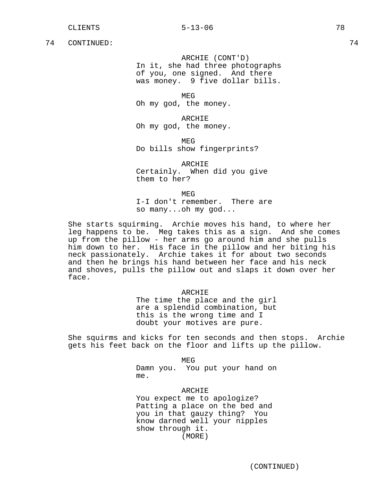ARCHIE (CONT'D) In it, she had three photographs of you, one signed. And there was money. 9 five dollar bills.

MEG Oh my god, the money.

ARCHIE Oh my god, the money.

MEG Do bills show fingerprints?

ARCHIE Certainly. When did you give them to her?

**MEG** 

I-I don't remember. There are so many...oh my god...

She starts squirming. Archie moves his hand, to where her leg happens to be. Meg takes this as a sign. And she comes up from the pillow - her arms go around him and she pulls him down to her. His face in the pillow and her biting his neck passionately. Archie takes it for about two seconds and then he brings his hand between her face and his neck and shoves, pulls the pillow out and slaps it down over her face.

ARCHIE

The time the place and the girl are a splendid combination, but this is the wrong time and I doubt your motives are pure.

She squirms and kicks for ten seconds and then stops. Archie gets his feet back on the floor and lifts up the pillow.

MEG

Damn you. You put your hand on me.

ARCHIE You expect me to apologize? Patting a place on the bed and you in that gauzy thing? You know darned well your nipples show through it. (MORE)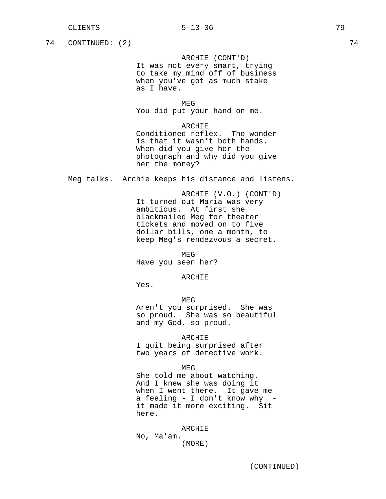## CLIENTS 5-13-06 79

74 CONTINUED: (2) 74

ARCHIE (CONT'D) It was not every smart, trying to take my mind off of business when you've got as much stake as I have.

MEG You did put your hand on me.

ARCHIE Conditioned reflex. The wonder is that it wasn't both hands. When did you give her the photograph and why did you give

Meg talks. Archie keeps his distance and listens.

her the money?

ARCHIE (V.O.) (CONT'D) It turned out Maria was very ambitious. At first she blackmailed Meg for theater tickets and moved on to five dollar bills, one a month, to keep Meg's rendezvous a secret.

MEG

Have you seen her?

### ARCHIE

Yes.

MEG

Aren't you surprised. She was so proud. She was so beautiful and my God, so proud.

### ARCHIE

I quit being surprised after two years of detective work.

MEG

She told me about watching. And I knew she was doing it when I went there. It gave me a feeling - I don't know why it made it more exciting. Sit here.

ARCHIE

No, Ma'am. (MORE)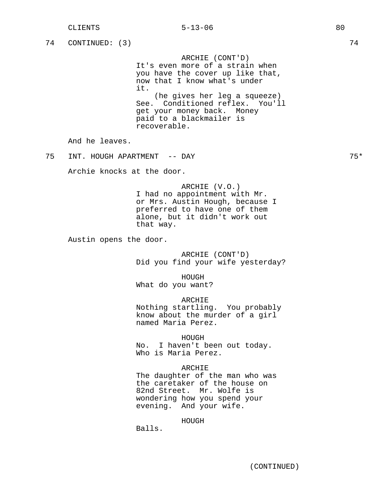|    | <b>CLIENTS</b>              | $5 - 13 - 06$                                                                                                                                                      | 80 |       |
|----|-----------------------------|--------------------------------------------------------------------------------------------------------------------------------------------------------------------|----|-------|
| 74 | CONTINUED: (3)              |                                                                                                                                                                    |    | 74    |
|    |                             | ARCHIE (CONT'D)<br>It's even more of a strain when<br>you have the cover up like that,<br>now that I know what's under<br>it.                                      |    |       |
|    |                             | (he gives her leg a squeeze)<br>See. Conditioned reflex. You'll<br>get your money back. Money<br>paid to a blackmailer is<br>recoverable.                          |    |       |
|    | And he leaves.              |                                                                                                                                                                    |    |       |
| 75 | INT. HOUGH APARTMENT -- DAY |                                                                                                                                                                    |    | $75*$ |
|    | Archie knocks at the door.  |                                                                                                                                                                    |    |       |
|    |                             | ARCHIE (V.O.)<br>I had no appointment with Mr.<br>or Mrs. Austin Hough, because I<br>preferred to have one of them<br>alone, but it didn't work out<br>that way.   |    |       |
|    | Austin opens the door.      |                                                                                                                                                                    |    |       |
|    |                             | ARCHIE (CONT'D)<br>Did you find your wife yesterday?                                                                                                               |    |       |
|    |                             | HOUGH<br>What do you want?                                                                                                                                         |    |       |
|    |                             | ARCHIE<br>Nothing startling. You probably<br>know about the murder of a girl<br>named Maria Perez.                                                                 |    |       |
|    |                             | HOUGH<br>No.<br>I haven't been out today.<br>Who is Maria Perez.                                                                                                   |    |       |
|    |                             | ARCHIE<br>The daughter of the man who was<br>the caretaker of the house on<br>82nd Street. Mr. Wolfe is<br>wondering how you spend your<br>evening. And your wife. |    |       |
|    |                             | HOUGH<br>Balls.                                                                                                                                                    |    |       |
|    |                             |                                                                                                                                                                    |    |       |
|    |                             | (CONTINUED)                                                                                                                                                        |    |       |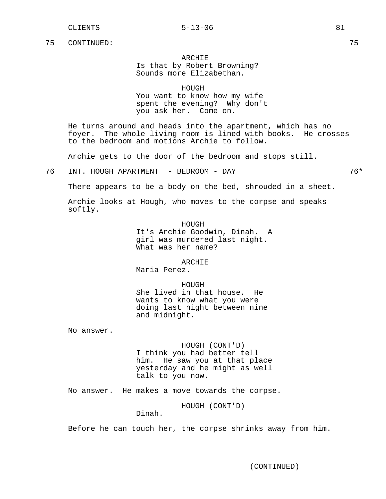# ARCHIE Is that by Robert Browning? Sounds more Elizabethan.

HOUGH

You want to know how my wife spent the evening? Why don't you ask her. Come on.

He turns around and heads into the apartment, which has no foyer. The whole living room is lined with books. He crosses to the bedroom and motions Archie to follow.

Archie gets to the door of the bedroom and stops still.

76 INT. HOUGH APARTMENT - BEDROOM - DAY 76\*

There appears to be a body on the bed, shrouded in a sheet.

Archie looks at Hough, who moves to the corpse and speaks softly.

> HOUGH It's Archie Goodwin, Dinah. A girl was murdered last night. What was her name?

> > ARCHIE

Maria Perez.

HOUGH She lived in that house. He wants to know what you were doing last night between nine and midnight.

No answer.

HOUGH (CONT'D) I think you had better tell him. He saw you at that place yesterday and he might as well talk to you now.

No answer. He makes a move towards the corpse.

HOUGH (CONT'D)

Dinah.

Before he can touch her, the corpse shrinks away from him.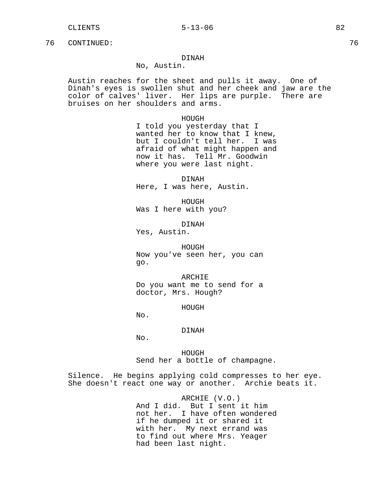# DINAH

No, Austin.

Austin reaches for the sheet and pulls it away. One of Dinah's eyes is swollen shut and her cheek and jaw are the color of calves' liver. Her lips are purple. There are bruises on her shoulders and arms.

HOUGH

I told you yesterday that I wanted her to know that I knew, but I couldn't tell her. I was afraid of what might happen and now it has. Tell Mr. Goodwin where you were last night.

DINAH Here, I was here, Austin.

HOUGH Was I here with you?

DINAH

Yes, Austin.

HOUGH Now you've seen her, you can go.

ARCHIE Do you want me to send for a doctor, Mrs. Hough?

HOUGH

No.

### DINAH

No.

HOUGH Send her a bottle of champagne.

Silence. He begins applying cold compresses to her eye. She doesn't react one way or another. Archie beats it.

> ARCHIE (V.O.) And I did. But I sent it him not her. I have often wondered if he dumped it or shared it with her. My next errand was to find out where Mrs. Yeager had been last night.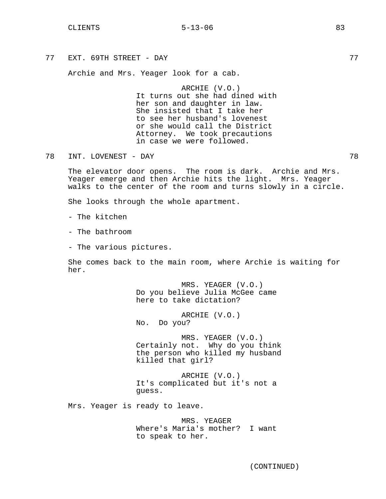# CLIENTS 83

77 EXT. 69TH STREET - DAY 77

Archie and Mrs. Yeager look for a cab.

ARCHIE (V.O.) It turns out she had dined with her son and daughter in law. She insisted that I take her to see her husband's lovenest or she would call the District Attorney. We took precautions in case we were followed.

78 INT. LOVENEST - DAY 78

The elevator door opens. The room is dark. Archie and Mrs. Yeager emerge and then Archie hits the light. Mrs. Yeager walks to the center of the room and turns slowly in a circle.

She looks through the whole apartment.

- The kitchen

- The bathroom

- The various pictures.

She comes back to the main room, where Archie is waiting for her.

> MRS. YEAGER (V.O.) Do you believe Julia McGee came here to take dictation?

ARCHIE (V.O.) No. Do you?

MRS. YEAGER (V.O.) Certainly not. Why do you think the person who killed my husband killed that girl?

ARCHIE (V.O.) It's complicated but it's not a guess.

Mrs. Yeager is ready to leave.

MRS. YEAGER Where's Maria's mother? I want to speak to her.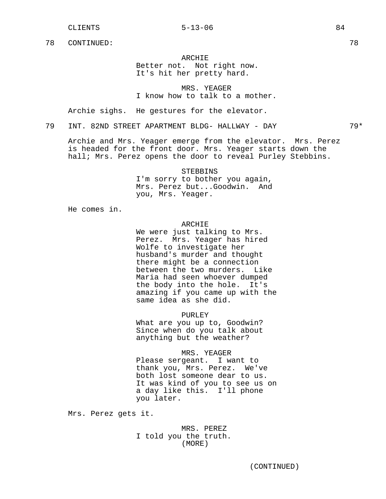### CLIENTS 84

78 CONTINUED: 78

# ARCHIE

Better not. Not right now. It's hit her pretty hard.

MRS. YEAGER I know how to talk to a mother.

Archie sighs. He gestures for the elevator.

# 79 INT. 82ND STREET APARTMENT BLDG- HALLWAY - DAY 79\*

Archie and Mrs. Yeager emerge from the elevator. Mrs. Perez is headed for the front door. Mrs. Yeager starts down the hall; Mrs. Perez opens the door to reveal Purley Stebbins.

STEBBINS

I'm sorry to bother you again, Mrs. Perez but...Goodwin. And you, Mrs. Yeager.

He comes in.

# ARCHIE

We were just talking to Mrs. Perez. Mrs. Yeager has hired Wolfe to investigate her husband's murder and thought there might be a connection between the two murders. Like Maria had seen whoever dumped the body into the hole. It's amazing if you came up with the same idea as she did.

PURLEY

What are you up to, Goodwin? Since when do you talk about anything but the weather?

## MRS. YEAGER

Please sergeant. I want to thank you, Mrs. Perez. We've both lost someone dear to us. It was kind of you to see us on a day like this. I'll phone you later.

Mrs. Perez gets it.

# MRS. PEREZ I told you the truth. (MORE)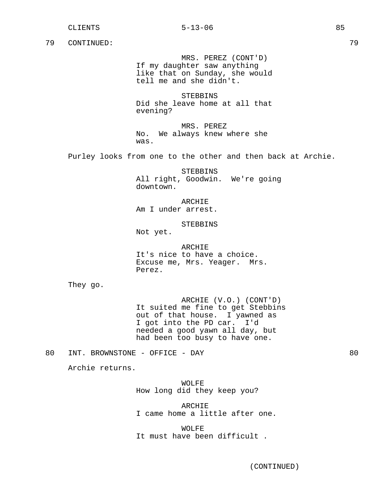MRS. PEREZ (CONT'D) If my daughter saw anything like that on Sunday, she would tell me and she didn't.

STEBBINS Did she leave home at all that evening?

MRS. PEREZ No. We always knew where she was.

Purley looks from one to the other and then back at Archie.

STEBBINS All right, Goodwin. We're going downtown.

ARCHIE Am I under arrest.

STEBBINS

Not yet.

ARCHIE It's nice to have a choice. Excuse me, Mrs. Yeager. Mrs. Perez.

They go.

ARCHIE (V.O.) (CONT'D) It suited me fine to get Stebbins out of that house. I yawned as I got into the PD car. I'd needed a good yawn all day, but had been too busy to have one.

80 INT. BROWNSTONE - OFFICE - DAY 80

Archie returns.

WOLFE How long did they keep you?

ARCHIE I came home a little after one.

WOLFE It must have been difficult .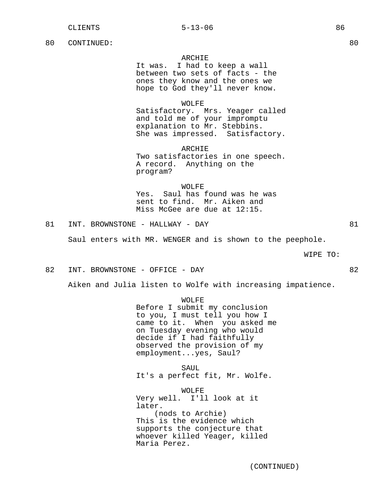# ARCHIE

It was. I had to keep a wall between two sets of facts - the ones they know and the ones we hope to God they'll never know.

## WOLFE

Satisfactory. Mrs. Yeager called and told me of your impromptu explanation to Mr. Stebbins. She was impressed. Satisfactory.

ARCHIE Two satisfactories in one speech. A record. Anything on the program?

WOLFE Yes. Saul has found was he was sent to find. Mr. Aiken and Miss McGee are due at 12:15.

81 INT. BROWNSTONE - HALLWAY - DAY 81

Saul enters with MR. WENGER and is shown to the peephole.

WIPE TO:

82 INT. BROWNSTONE - OFFICE - DAY 82

Aiken and Julia listen to Wolfe with increasing impatience.

WOLFE

Before I submit my conclusion to you, I must tell you how I came to it. When you asked me on Tuesday evening who would decide if I had faithfully observed the provision of my employment...yes, Saul?

SAUL It's a perfect fit, Mr. Wolfe.

WOLFE Very well. I'll look at it later. (nods to Archie) This is the evidence which supports the conjecture that whoever killed Yeager, killed Maria Perez.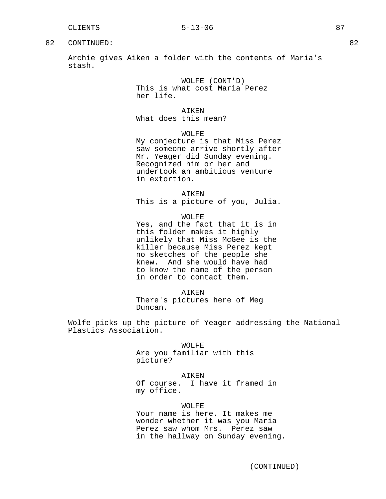Archie gives Aiken a folder with the contents of Maria's stash.

> WOLFE (CONT'D) This is what cost Maria Perez her life.

AIKEN What does this mean?

WOLFE

My conjecture is that Miss Perez saw someone arrive shortly after Mr. Yeager did Sunday evening. Recognized him or her and undertook an ambitious venture in extortion.

AIKEN This is a picture of you, Julia.

WOLFE Yes, and the fact that it is in this folder makes it highly unlikely that Miss McGee is the killer because Miss Perez kept no sketches of the people she knew. And she would have had to know the name of the person in order to contact them.

AIKEN There's pictures here of Meg Duncan.

Wolfe picks up the picture of Yeager addressing the National Plastics Association.

> WOLFE Are you familiar with this picture?

AIKEN Of course. I have it framed in my office.

WOLFE Your name is here. It makes me wonder whether it was you Maria Perez saw whom Mrs. Perez saw in the hallway on Sunday evening.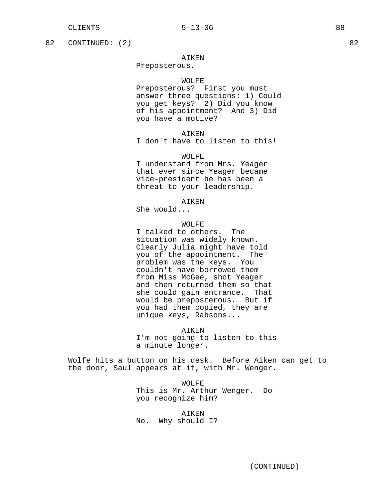82 CONTINUED: (2) 82

# AIKEN

Preposterous.

## WOLFE

Preposterous? First you must answer three questions: 1) Could you get keys? 2) Did you know of his appointment? And 3) Did you have a motive?

### AIKEN

I don't have to listen to this!

# WOLFE

I understand from Mrs. Yeager that ever since Yeager became vice-president he has been a threat to your leadership.

**AIKEN** 

She would...

# WOLFE

I talked to others. The situation was widely known. Clearly Julia might have told you of the appointment. The problem was the keys. You couldn't have borrowed them from Miss McGee, shot Yeager and then returned them so that she could gain entrance. That would be preposterous. But if you had them copied, they are unique keys, Rabsons...

AIKEN I'm not going to listen to this a minute longer.

Wolfe hits a button on his desk. Before Aiken can get to the door, Saul appears at it, with Mr. Wenger.

> WOLFE This is Mr. Arthur Wenger. Do you recognize him?

AIKEN No. Why should I?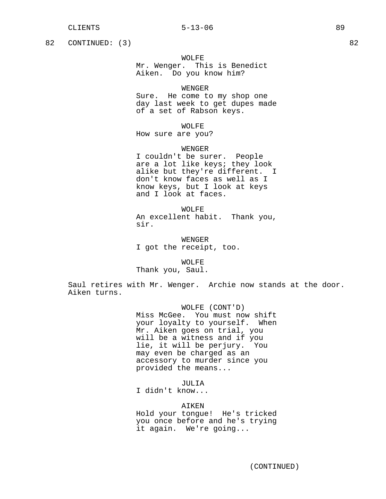82 CONTINUED: (3) 82

WOLFE

Mr. Wenger. This is Benedict Aiken. Do you know him?

WENGER

Sure. He come to my shop one day last week to get dupes made of a set of Rabson keys.

WOLFE

How sure are you?

WENGER

I couldn't be surer. People are a lot like keys; they look alike but they're different. I don't know faces as well as I know keys, but I look at keys and I look at faces.

WOLFE An excellent habit. Thank you, sir.

WENGER I got the receipt, too.

WOLFE Thank you, Saul.

Saul retires with Mr. Wenger. Archie now stands at the door. Aiken turns.

> WOLFE (CONT'D) Miss McGee. You must now shift your loyalty to yourself. When Mr. Aiken goes on trial, you will be a witness and if you lie, it will be perjury. You may even be charged as an accessory to murder since you provided the means...

> > JULIA

I didn't know...

AIKEN

Hold your tongue! He's tricked you once before and he's trying it again. We're going...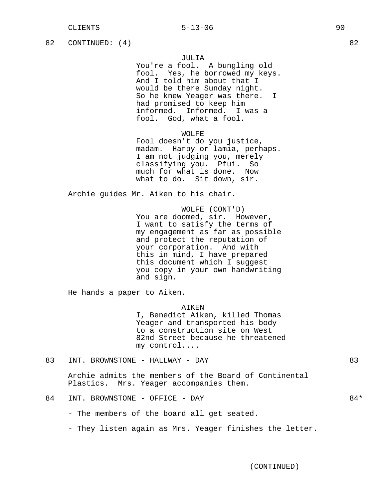82 CONTINUED: (4) 82

## JULIA

You're a fool. A bungling old fool. Yes, he borrowed my keys. And I told him about that I would be there Sunday night. So he knew Yeager was there. I had promised to keep him informed. Informed. I was a fool. God, what a fool.

# WOLFE

Fool doesn't do you justice, madam. Harpy or lamia, perhaps. I am not judging you, merely classifying you. Pfui. So much for what is done. Now what to do. Sit down, sir.

Archie guides Mr. Aiken to his chair.

WOLFE (CONT'D) You are doomed, sir. However, I want to satisfy the terms of my engagement as far as possible and protect the reputation of your corporation. And with this in mind, I have prepared this document which I suggest you copy in your own handwriting and sign.

He hands a paper to Aiken.

### AIKEN

I, Benedict Aiken, killed Thomas Yeager and transported his body to a construction site on West 82nd Street because he threatened my control....

83 INT. BROWNSTONE - HALLWAY - DAY 83

Archie admits the members of the Board of Continental Plastics. Mrs. Yeager accompanies them.

- The members of the board all get seated.

- They listen again as Mrs. Yeager finishes the letter.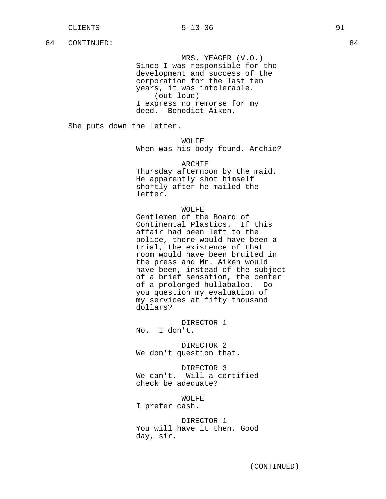MRS. YEAGER (V.O.)

Since I was responsible for the development and success of the corporation for the last ten years, it was intolerable. (out loud) I express no remorse for my deed. Benedict Aiken.

She puts down the letter.

WOLFE

When was his body found, Archie?

ARCHIE

Thursday afternoon by the maid. He apparently shot himself shortly after he mailed the letter.

### WOLFE

Gentlemen of the Board of Continental Plastics. If this affair had been left to the police, there would have been a trial, the existence of that room would have been bruited in the press and Mr. Aiken would have been, instead of the subject of a brief sensation, the center of a prolonged hullabaloo. Do you question my evaluation of my services at fifty thousand dollars?

DIRECTOR 1 No. I don't.

DIRECTOR 2 We don't question that.

DIRECTOR 3 We can't. Will a certified check be adequate?

WOLFE

I prefer cash.

DIRECTOR 1 You will have it then. Good day, sir.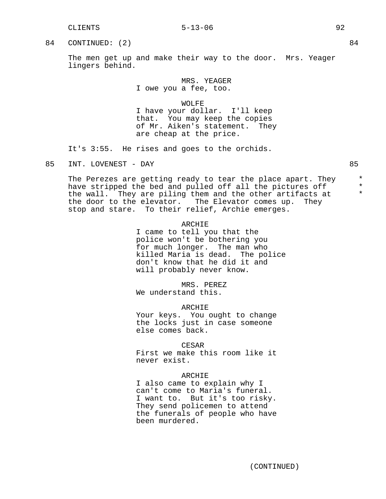### CLIENTS 5-13-06 92

## 84 CONTINUED: (2) 84

The men get up and make their way to the door. Mrs. Yeager lingers behind.

> MRS. YEAGER I owe you a fee, too.

> > WOLFE

I have your dollar. I'll keep that. You may keep the copies of Mr. Aiken's statement. They are cheap at the price.

It's 3:55. He rises and goes to the orchids.

The Perezes are getting ready to tear the place apart. They  $*$ <br>have stripped the bed and pulled off all the pictures off have stripped the bed and pulled off all the pictures off  $*$ <br>the wall they are piling them and the other artifacts at the wall. They are piling them and the other artifacts at \* the door to the elevator. The Elevator comes up. They stop and stare. To their relief, Archie emerges.

## ARCHIE

I came to tell you that the police won't be bothering you for much longer. The man who killed Maria is dead. The police don't know that he did it and will probably never know.

MRS. PEREZ We understand this.

### ARCHIE

Your keys. You ought to change the locks just in case someone else comes back.

## CESAR

First we make this room like it never exist.

### ARCHIE

I also came to explain why I can't come to Maria's funeral. I want to. But it's too risky. They send policemen to attend the funerals of people who have been murdered.